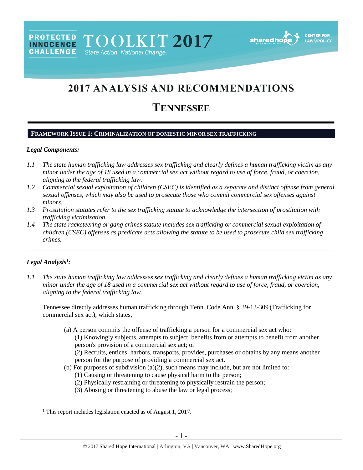# 2017 ANALYSIS AND RECOMMENDATIONS

## **TENNESSEE**

#### **FRAMEWORK ISSUE 1: CRIMINALIZATION OF DOMESTIC MINOR SEX TRAFFICKING**

PROTECTED TOOLKIT 2017

State Action. National Change.

#### *Legal Components:*

**CHALLENGE** 

- *1.1 The state human trafficking law addresses sex trafficking and clearly defines a human trafficking victim as any minor under the age of 18 used in a commercial sex act without regard to use of force, fraud, or coercion, aligning to the federal trafficking law.*
- *1.2 Commercial sexual exploitation of children (CSEC) is identified as a separate and distinct offense from general sexual offenses, which may also be used to prosecute those who commit commercial sex offenses against minors.*
- *1.3 Prostitution statutes refer to the sex trafficking statute to acknowledge the intersection of prostitution with trafficking victimization.*
- *1.4 The state racketeering or gang crimes statute includes sex trafficking or commercial sexual exploitation of children (CSEC) offenses as predicate acts allowing the statute to be used to prosecute child sex trafficking crimes.*

\_\_\_\_\_\_\_\_\_\_\_\_\_\_\_\_\_\_\_\_\_\_\_\_\_\_\_\_\_\_\_\_\_\_\_\_\_\_\_\_\_\_\_\_\_\_\_\_\_\_\_\_\_\_\_\_\_\_\_\_\_\_\_\_\_\_\_\_\_\_\_\_\_\_\_\_\_\_\_\_\_\_\_\_\_\_\_\_\_\_\_\_\_\_

#### *Legal Analysis*<sup>1</sup> *:*

 $\overline{a}$ 

*1.1 The state human trafficking law addresses sex trafficking and clearly defines a human trafficking victim as any minor under the age of 18 used in a commercial sex act without regard to use of force, fraud, or coercion, aligning to the federal trafficking law.* 

Tennessee directly addresses human trafficking through Tenn. Code Ann. § 39-13-309 (Trafficking for commercial sex act), which states,

- (a) A person commits the offense of trafficking a person for a commercial sex act who: (1) Knowingly subjects, attempts to subject, benefits from or attempts to benefit from another person's provision of a commercial sex act; or (2) Recruits, entices, harbors, transports, provides, purchases or obtains by any means another person for the purpose of providing a commercial sex act.
- (b) For purposes of subdivision (a)(2), such means may include, but are not limited to:
	- (1) Causing or threatening to cause physical harm to the person;
	- (2) Physically restraining or threatening to physically restrain the person;
	- (3) Abusing or threatening to abuse the law or legal process;

<sup>&</sup>lt;sup>1</sup> This report includes legislation enacted as of August 1, 2017.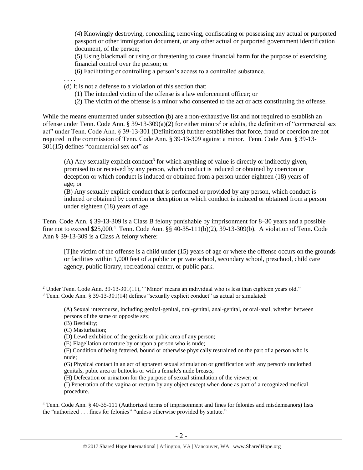(4) Knowingly destroying, concealing, removing, confiscating or possessing any actual or purported passport or other immigration document, or any other actual or purported government identification document, of the person;

(5) Using blackmail or using or threatening to cause financial harm for the purpose of exercising financial control over the person; or

(6) Facilitating or controlling a person's access to a controlled substance.

. . . .

(d) It is not a defense to a violation of this section that:

- (1) The intended victim of the offense is a law enforcement officer; or
- (2) The victim of the offense is a minor who consented to the act or acts constituting the offense.

While the means enumerated under subsection (b) are a non-exhaustive list and not required to establish an offense under Tenn. Code Ann. § 39-13-309(a)(2) for either minors<sup>2</sup> or adults, the definition of "commercial sex act" under Tenn. Code Ann. § 39-13-301 (Definitions) further establishes that force, fraud or coercion are not required in the commission of Tenn. Code Ann. § 39-13-309 against a minor. Tenn. Code Ann. § 39-13- 301(15) defines "commercial sex act" as

<span id="page-1-0"></span> $(A)$  Any sexually explicit conduct<sup>3</sup> for which anything of value is directly or indirectly given, promised to or received by any person, which conduct is induced or obtained by coercion or deception or which conduct is induced or obtained from a person under eighteen (18) years of age; or

(B) Any sexually explicit conduct that is performed or provided by any person, which conduct is induced or obtained by coercion or deception or which conduct is induced or obtained from a person under eighteen (18) years of age.

Tenn. Code Ann. § 39-13-309 is a Class B felony punishable by imprisonment for 8–30 years and a possible fine not to exceed \$25,000.<sup>4</sup> Tenn. Code Ann. §§ 40-35-111(b)(2), 39-13-309(b). A violation of Tenn. Code Ann § 39-13-309 is a Class A felony where:

[T]he victim of the offense is a child under (15) years of age or where the offense occurs on the grounds or facilities within 1,000 feet of a public or private school, secondary school, preschool, child care agency, public library, recreational center, or public park.

 $\overline{a}$ 

(G) Physical contact in an act of apparent sexual stimulation or gratification with any person's unclothed genitals, pubic area or buttocks or with a female's nude breasts;

<sup>&</sup>lt;sup>2</sup> Under Tenn. Code Ann. 39-13-301(11), "'Minor' means an individual who is less than eighteen years old."

 $3$  Tenn. Code Ann. § 39-13-301(14) defines "sexually explicit conduct" as actual or simulated:

<sup>(</sup>A) Sexual intercourse, including genital-genital, oral-genital, anal-genital, or oral-anal, whether between persons of the same or opposite sex;

<sup>(</sup>B) Bestiality;

<sup>(</sup>C) Masturbation;

<sup>(</sup>D) Lewd exhibition of the genitals or pubic area of any person;

<sup>(</sup>E) Flagellation or torture by or upon a person who is nude;

<sup>(</sup>F) Condition of being fettered, bound or otherwise physically restrained on the part of a person who is nude;

<sup>(</sup>H) Defecation or urination for the purpose of sexual stimulation of the viewer; or

<sup>(</sup>I) Penetration of the vagina or rectum by any object except when done as part of a recognized medical procedure.

<sup>4</sup> Tenn. Code Ann. § 40-35-111 (Authorized terms of imprisonment and fines for felonies and misdemeanors) lists the "authorized . . . fines for felonies" "unless otherwise provided by statute."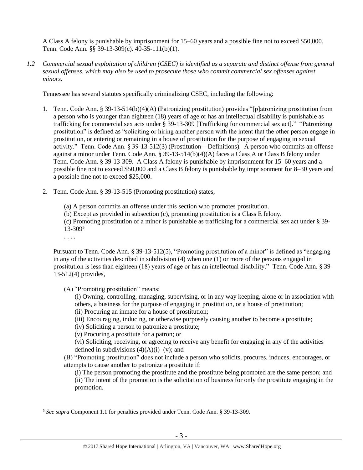A Class A felony is punishable by imprisonment for 15–60 years and a possible fine not to exceed \$50,000. Tenn. Code Ann. §§ 39-13-309(c). 40-35-111(b)(1).

*1.2 Commercial sexual exploitation of children (CSEC) is identified as a separate and distinct offense from general sexual offenses, which may also be used to prosecute those who commit commercial sex offenses against minors.*

Tennessee has several statutes specifically criminalizing CSEC, including the following:

- 1. Tenn. Code Ann. § 39-13-514(b)(4)(A) (Patronizing prostitution) provides "[p]atronizing prostitution from a person who is younger than eighteen (18) years of age or has an intellectual disability is punishable as trafficking for commercial sex acts under § 39-13-309 [Trafficking for commercial sex act]." "Patronizing prostitution" is defined as "soliciting or hiring another person with the intent that the other person engage in prostitution, or entering or remaining in a house of prostitution for the purpose of engaging in sexual activity." Tenn. Code Ann. § 39-13-512(3) (Prostitution—Definitions). A person who commits an offense against a minor under Tenn. Code Ann. § 39-13-514(b)(4)(A) faces a Class A or Class B felony under Tenn. Code Ann. § 39-13-309. A Class A felony is punishable by imprisonment for 15–60 years and a possible fine not to exceed \$50,000 and a Class B felony is punishable by imprisonment for 8–30 years and a possible fine not to exceed \$25,000.
- 2. Tenn. Code Ann. § 39-13-515 (Promoting prostitution) states,

(a) A person commits an offense under this section who promotes prostitution.

(b) Except as provided in subsection (c), promoting prostitution is a Class E felony.

(c) Promoting prostitution of a minor is punishable as trafficking for a commercial sex act under § 39- 13-309<sup>5</sup>

. . . .

 $\overline{a}$ 

Pursuant to Tenn. Code Ann. § 39-13-512(5), "Promoting prostitution of a minor" is defined as "engaging in any of the activities described in subdivision (4) when one (1) or more of the persons engaged in prostitution is less than eighteen (18) years of age or has an intellectual disability." Tenn. Code Ann. § 39- 13-512(4) provides,

(A) "Promoting prostitution" means:

(i) Owning, controlling, managing, supervising, or in any way keeping, alone or in association with others, a business for the purpose of engaging in prostitution, or a house of prostitution; (ii) Procuring an inmate for a house of prostitution;

(iii) Encouraging, inducing, or otherwise purposely causing another to become a prostitute;

(iv) Soliciting a person to patronize a prostitute;

(v) Procuring a prostitute for a patron; or

(vi) Soliciting, receiving, or agreeing to receive any benefit for engaging in any of the activities defined in subdivisions  $(4)(A)(i)$ –(v); and

(B) "Promoting prostitution" does not include a person who solicits, procures, induces, encourages, or attempts to cause another to patronize a prostitute if:

(i) The person promoting the prostitute and the prostitute being promoted are the same person; and

(ii) The intent of the promotion is the solicitation of business for only the prostitute engaging in the promotion.

<sup>5</sup> *See supra* Component 1.1 for penalties provided under Tenn. Code Ann. § 39-13-309.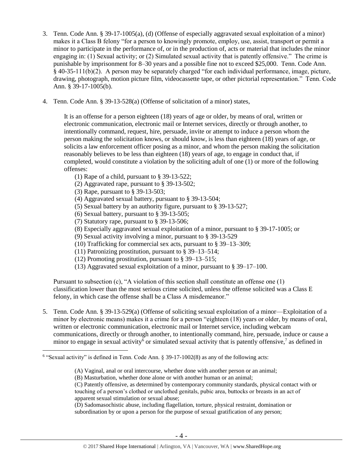- 3. Tenn. Code Ann. § 39-17-1005(a), (d) (Offense of especially aggravated sexual exploitation of a minor) makes it a Class B felony "for a person to knowingly promote, employ, use, assist, transport or permit a minor to participate in the performance of, or in the production of, acts or material that includes the minor engaging in: (1) Sexual activity; or (2) Simulated sexual activity that is patently offensive." The crime is punishable by imprisonment for 8–30 years and a possible fine not to exceed \$25,000. Tenn. Code Ann. § 40-35-111(b)(2). A person may be separately charged "for each individual performance, image, picture, drawing, photograph, motion picture film, videocassette tape, or other pictorial representation." Tenn. Code Ann. § 39-17-1005(b).
- 4. Tenn. Code Ann. § 39-13-528(a) (Offense of solicitation of a minor) states,

It is an offense for a person eighteen (18) years of age or older, by means of oral, written or electronic communication, electronic mail or Internet services, directly or through another, to intentionally command, request, hire, persuade, invite or attempt to induce a person whom the person making the solicitation knows, or should know, is less than eighteen (18) years of age, or solicits a law enforcement officer posing as a minor, and whom the person making the solicitation reasonably believes to be less than eighteen (18) years of age, to engage in conduct that, if completed, would constitute a violation by the soliciting adult of one (1) or more of the following offenses:

- (1) Rape of a child, pursuant to § 39-13-522;
- (2) Aggravated rape, pursuant to § 39-13-502;
- (3) Rape, pursuant to § 39-13-503;

 $\overline{a}$ 

- (4) Aggravated sexual battery, pursuant to § 39-13-504;
- (5) Sexual battery by an authority figure, pursuant to § 39-13-527;
- (6) Sexual battery, pursuant to § 39-13-505;
- (7) Statutory rape, pursuant to § 39-13-506;
- (8) Especially aggravated sexual exploitation of a minor, pursuant to § 39-17-1005; or
- (9) Sexual activity involving a minor, pursuant to § 39-13-529
- (10) Trafficking for commercial sex acts, pursuant to § 39–13–309;
- (11) Patronizing prostitution, pursuant to § 39–13–514;
- (12) Promoting prostitution, pursuant to § 39–13–515;
- (13) Aggravated sexual exploitation of a minor, pursuant to § 39–17–100.

Pursuant to subsection  $(c)$ , "A violation of this section shall constitute an offense one  $(1)$ classification lower than the most serious crime solicited, unless the offense solicited was a Class E felony, in which case the offense shall be a Class A misdemeanor."

5. Tenn. Code Ann. § 39-13-529(a) (Offense of soliciting sexual exploitation of a minor—Exploitation of a minor by electronic means) makes it a crime for a person "eighteen (18) years or older, by means of oral, written or electronic communication, electronic mail or Internet service, including webcam communications, directly or through another, to intentionally command, hire, persuade, induce or cause a minor to engage in sexual activity<sup>6</sup> or simulated sexual activity that is patently offensive,<sup>7</sup> as defined in

- <span id="page-3-0"></span>(B) Masturbation, whether done alone or with another human or an animal;
- (C) Patently offensive, as determined by contemporary community standards, physical contact with or touching of a person's clothed or unclothed genitals, pubic area, buttocks or breasts in an act of apparent sexual stimulation or sexual abuse;

(D) Sadomasochistic abuse, including flagellation, torture, physical restraint, domination or subordination by or upon a person for the purpose of sexual gratification of any person;

<sup>&</sup>lt;sup>6</sup> "Sexual activity" is defined in Tenn. Code Ann. § 39-17-1002(8) as any of the following acts:

<sup>(</sup>A) Vaginal, anal or oral intercourse, whether done with another person or an animal;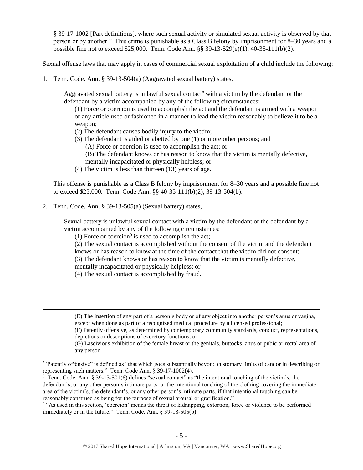§ 39-17-1002 [Part definitions], where such sexual activity or simulated sexual activity is observed by that person or by another." This crime is punishable as a Class B felony by imprisonment for 8–30 years and a possible fine not to exceed \$25,000. Tenn. Code Ann. §§ 39-13-529(e)(1), 40-35-111(b)(2).

Sexual offense laws that may apply in cases of commercial sexual exploitation of a child include the following:

1. Tenn. Code. Ann. § 39-13-504(a) (Aggravated sexual battery) states,

Aggravated sexual battery is unlawful sexual contact<sup>8</sup> with a victim by the defendant or the defendant by a victim accompanied by any of the following circumstances:

(1) Force or coercion is used to accomplish the act and the defendant is armed with a weapon or any article used or fashioned in a manner to lead the victim reasonably to believe it to be a weapon;

- (2) The defendant causes bodily injury to the victim;
- (3) The defendant is aided or abetted by one (1) or more other persons; and
	- (A) Force or coercion is used to accomplish the act; or
	- (B) The defendant knows or has reason to know that the victim is mentally defective,
	- mentally incapacitated or physically helpless; or
- (4) The victim is less than thirteen (13) years of age.

This offense is punishable as a Class B felony by imprisonment for 8–30 years and a possible fine not to exceed \$25,000. Tenn. Code Ann. §§ 40-35-111(b)(2), 39-13-504(b).

2. Tenn. Code. Ann. § 39-13-505(a) (Sexual battery) states,

 $\overline{a}$ 

Sexual battery is unlawful sexual contact with a victim by the defendant or the defendant by a victim accompanied by any of the following circumstances:

(1) Force or coercion<sup>9</sup> is used to accomplish the act;

- (2) The sexual contact is accomplished without the consent of the victim and the defendant
- knows or has reason to know at the time of the contact that the victim did not consent;
- (3) The defendant knows or has reason to know that the victim is mentally defective,

mentally incapacitated or physically helpless; or

(4) The sexual contact is accomplished by fraud.

(F) Patently offensive, as determined by contemporary community standards, conduct, representations, depictions or descriptions of excretory functions; or

<sup>9</sup> "As used in this section, 'coercion' means the threat of kidnapping, extortion, force or violence to be performed immediately or in the future." Tenn. Code. Ann. § 39-13-505(b).

<sup>(</sup>E) The insertion of any part of a person's body or of any object into another person's anus or vagina, except when done as part of a recognized medical procedure by a licensed professional;

<sup>(</sup>G) Lascivious exhibition of the female breast or the genitals, buttocks, anus or pubic or rectal area of any person.

<sup>&</sup>lt;sup>7</sup>"Patently offensive" is defined as "that which goes substantially beyond customary limits of candor in describing or representing such matters." Tenn. Code Ann. § 39-17-1002(4).

<sup>&</sup>lt;sup>8</sup> Tenn. Code. Ann. § 39-13-501(6) defines "sexual contact" as "the intentional touching of the victim's, the defendant's, or any other person's intimate parts, or the intentional touching of the clothing covering the immediate area of the victim's, the defendant's, or any other person's intimate parts, if that intentional touching can be reasonably construed as being for the purpose of sexual arousal or gratification."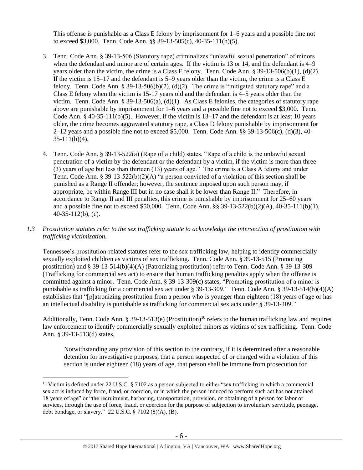This offense is punishable as a Class E felony by imprisonment for 1–6 years and a possible fine not to exceed \$3,000. Tenn. Code Ann. §§ 39-13-505(c), 40-35-111(b)(5).

- 3. Tenn. Code Ann. § 39-13-506 (Statutory rape) criminalizes "unlawful sexual penetration" of minors when the defendant and minor are of certain ages. If the victim is 13 or 14, and the defendant is 4–9 years older than the victim, the crime is a Class E felony. Tenn. Code Ann. § 39-13-506(b)(1), (d)(2). If the victim is 15–17 and the defendant is 5–9 years older than the victim, the crime is a Class E felony. Tenn. Code Ann. § 39-13-506(b)(2), (d)(2). The crime is "mitigated statutory rape" and a Class E felony when the victim is 15-17 years old and the defendant is 4–5 years older than the victim. Tenn. Code Ann. § 39-13-506(a), (d)(1). As Class E felonies, the categories of statutory rape above are punishable by imprisonment for 1–6 years and a possible fine not to exceed \$3,000. Tenn. Code Ann.  $\S$  40-35-111(b)(5). However, if the victim is 13–17 and the defendant is at least 10 years older, the crime becomes aggravated statutory rape, a Class D felony punishable by imprisonment for 2–12 years and a possible fine not to exceed \$5,000. Tenn. Code Ann. §§ 39-13-506(c), (d)(3), 40-  $35-111(b)(4)$ .
- 4. Tenn. Code Ann. § 39-13-522(a) (Rape of a child) states, "Rape of a child is the unlawful sexual penetration of a victim by the defendant or the defendant by a victim, if the victim is more than three (3) years of age but less than thirteen (13) years of age." The crime is a Class A felony and under Tenn. Code Ann. § 39-13-522(b)(2)(A) "a person convicted of a violation of this section shall be punished as a Range II offender; however, the sentence imposed upon such person may, if appropriate, be within Range III but in no case shall it be lower than Range II." Therefore, in accordance to Range II and III penalties, this crime is punishable by imprisonment for 25–60 years and a possible fine not to exceed \$50,000. Tenn. Code Ann. §§ 39-13-522(b)(2)(A), 40-35-111(b)(1), 40-35-112(b), (c).
- *1.3 Prostitution statutes refer to the sex trafficking statute to acknowledge the intersection of prostitution with trafficking victimization.*

Tennessee's prostitution-related statutes refer to the sex trafficking law, helping to identify commercially sexually exploited children as victims of sex trafficking. Tenn. Code Ann. § 39-13-515 (Promoting prostitution) and § 39-13-514(b)(4)(A) (Patronizing prostitution) refer to Tenn. Code Ann. § 39-13-309 (Trafficking for commercial sex act) to ensure that human trafficking penalties apply when the offense is committed against a minor. Tenn. Code Ann. § 39-13-309(c) states, "Promoting prostitution of a minor is punishable as trafficking for a commercial sex act under § 39-13-309." Tenn. Code Ann. § 39-13-514(b)(4)(A) establishes that "[p]atronizing prostitution from a person who is younger than eighteen (18) years of age or has an intellectual disability is punishable as trafficking for commercial sex acts under § 39-13-309."

Additionally, Tenn. Code Ann. § 39-13-513(e) (Prostitution)<sup>10</sup> refers to the human trafficking law and requires law enforcement to identify commercially sexually exploited minors as victims of sex trafficking. Tenn. Code Ann. § 39-13-513(d) states,

Notwithstanding any provision of this section to the contrary, if it is determined after a reasonable detention for investigative purposes, that a person suspected of or charged with a violation of this section is under eighteen (18) years of age, that person shall be immune from prosecution for

<sup>&</sup>lt;sup>10</sup> Victim is defined under 22 U.S.C. § 7102 as a person subjected to either "sex trafficking in which a commercial sex act is induced by force, fraud, or coercion, or in which the person induced to perform such act has not attained 18 years of age" or "the recruitment, harboring, transportation, provision, or obtaining of a person for labor or services, through the use of force, fraud, or coercion for the purpose of subjection to involuntary servitude, peonage, debt bondage, or slavery." 22 U.S.C. § 7102 (8)(A), (B).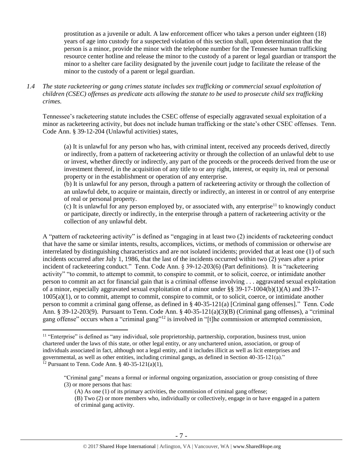prostitution as a juvenile or adult. A law enforcement officer who takes a person under eighteen (18) years of age into custody for a suspected violation of this section shall, upon determination that the person is a minor, provide the minor with the telephone number for the Tennessee human trafficking resource center hotline and release the minor to the custody of a parent or legal guardian or transport the minor to a shelter care facility designated by the juvenile court judge to facilitate the release of the minor to the custody of a parent or legal guardian.

*1.4 The state racketeering or gang crimes statute includes sex trafficking or commercial sexual exploitation of children (CSEC) offenses as predicate acts allowing the statute to be used to prosecute child sex trafficking crimes.* 

Tennessee's racketeering statute includes the CSEC offense of especially aggravated sexual exploitation of a minor as racketeering activity, but does not include human trafficking or the state's other CSEC offenses. Tenn. Code Ann. § 39-12-204 (Unlawful activities) states,

(a) It is unlawful for any person who has, with criminal intent, received any proceeds derived, directly or indirectly, from a pattern of racketeering activity or through the collection of an unlawful debt to use or invest, whether directly or indirectly, any part of the proceeds or the proceeds derived from the use or investment thereof, in the acquisition of any title to or any right, interest, or equity in, real or personal property or in the establishment or operation of any enterprise.

(b) It is unlawful for any person, through a pattern of racketeering activity or through the collection of an unlawful debt, to acquire or maintain, directly or indirectly, an interest in or control of any enterprise of real or personal property.

(c) It is unlawful for any person employed by, or associated with, any enterprise<sup>11</sup> to knowingly conduct or participate, directly or indirectly, in the enterprise through a pattern of racketeering activity or the collection of any unlawful debt.

A "pattern of racketeering activity" is defined as "engaging in at least two (2) incidents of racketeering conduct that have the same or similar intents, results, accomplices, victims, or methods of commission or otherwise are interrelated by distinguishing characteristics and are not isolated incidents; provided that at least one (1) of such incidents occurred after July 1, 1986, that the last of the incidents occurred within two (2) years after a prior incident of racketeering conduct." Tenn. Code Ann. § 39-12-203(6) (Part definitions). It is "racketeering activity" "to commit, to attempt to commit, to conspire to commit, or to solicit, coerce, or intimidate another person to commit an act for financial gain that is a criminal offense involving . . . aggravated sexual exploitation of a minor, especially aggravated sexual exploitation of a minor under §§ 39-17-1004(b)(1)(A) and 39-17- 1005(a)(1), or to commit, attempt to commit, conspire to commit, or to solicit, coerce, or intimidate another person to commit a criminal gang offense, as defined in § 40-35-121(a) [Criminal gang offenses]." Tenn. Code Ann. § 39-12-203(9). Pursuant to Tenn. Code Ann. § 40-35-121(a)(3)(B) (Criminal gang offenses), a "criminal gang offense" occurs when a "criminal gang"<sup>12</sup> is involved in "[t]he commission or attempted commission,

<sup>&</sup>lt;sup>11</sup> "Enterprise" is defined as "any individual, sole proprietorship, partnership, corporation, business trust, union chartered under the laws of this state, or other legal entity, or any unchartered union, association, or group of individuals associated in fact, although not a legal entity, and it includes illicit as well as licit enterprises and governmental, as well as other entities, including criminal gangs, as defined in Section 40-35-121(a)." <sup>12</sup> Pursuant to Tenn. Code Ann. § 40-35-121(a)(1),

<sup>&</sup>quot;Criminal gang" means a formal or informal ongoing organization, association or group consisting of three (3) or more persons that has:

<sup>(</sup>A) As one (1) of its primary activities, the commission of criminal gang offense;

<sup>(</sup>B) Two (2) or more members who, individually or collectively, engage in or have engaged in a pattern of criminal gang activity.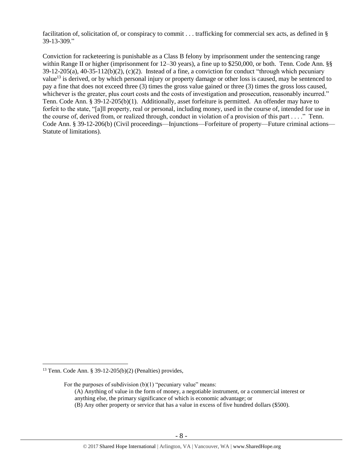facilitation of, solicitation of, or conspiracy to commit . . . trafficking for commercial sex acts, as defined in § 39-13-309."

Conviction for racketeering is punishable as a Class B felony by imprisonment under the sentencing range within Range II or higher (imprisonment for 12–30 years), a fine up to \$250,000, or both. Tenn. Code Ann. §§ 39-12-205(a), 40-35-112(b)(2), (c)(2). Instead of a fine, a conviction for conduct "through which pecuniary value<sup>13</sup> is derived, or by which personal injury or property damage or other loss is caused, may be sentenced to pay a fine that does not exceed three (3) times the gross value gained or three (3) times the gross loss caused, whichever is the greater, plus court costs and the costs of investigation and prosecution, reasonably incurred." Tenn. Code Ann. § 39-12-205(b)(1). Additionally, asset forfeiture is permitted. An offender may have to forfeit to the state, "[a]ll property, real or personal, including money, used in the course of, intended for use in the course of, derived from, or realized through, conduct in violation of a provision of this part . . . ." Tenn. Code Ann. § 39-12-206(b) (Civil proceedings—Injunctions—Forfeiture of property—Future criminal actions— Statute of limitations).

 $\overline{a}$ 

(B) Any other property or service that has a value in excess of five hundred dollars (\$500).

<sup>13</sup> Tenn. Code Ann. § 39-12-205(b)(2) (Penalties) provides,

For the purposes of subdivision  $(b)(1)$  "pecuniary value" means: (A) Anything of value in the form of money, a negotiable instrument, or a commercial interest or anything else, the primary significance of which is economic advantage; or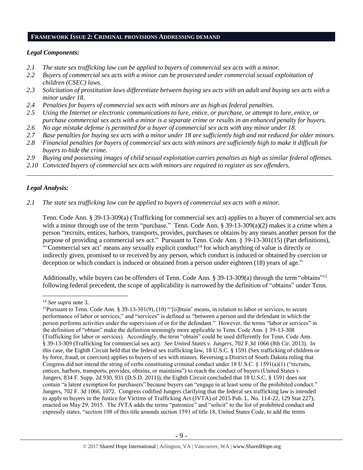#### **FRAMEWORK ISSUE 2: CRIMINAL PROVISIONS ADDRESSING DEMAND**

#### *Legal Components:*

- *2.1 The state sex trafficking law can be applied to buyers of commercial sex acts with a minor.*
- *2.2 Buyers of commercial sex acts with a minor can be prosecuted under commercial sexual exploitation of children (CSEC) laws.*
- *2.3 Solicitation of prostitution laws differentiate between buying sex acts with an adult and buying sex acts with a minor under 18.*
- *2.4 Penalties for buyers of commercial sex acts with minors are as high as federal penalties.*
- *2.5 Using the Internet or electronic communications to lure, entice, or purchase, or attempt to lure, entice, or purchase commercial sex acts with a minor is a separate crime or results in an enhanced penalty for buyers.*
- *2.6 No age mistake defense is permitted for a buyer of commercial sex acts with any minor under 18.*
- *2.7 Base penalties for buying sex acts with a minor under 18 are sufficiently high and not reduced for older minors.*
- *2.8 Financial penalties for buyers of commercial sex acts with minors are sufficiently high to make it difficult for buyers to hide the crime.*
- *2.9 Buying and possessing images of child sexual exploitation carries penalties as high as similar federal offenses.*

\_\_\_\_\_\_\_\_\_\_\_\_\_\_\_\_\_\_\_\_\_\_\_\_\_\_\_\_\_\_\_\_\_\_\_\_\_\_\_\_\_\_\_\_\_\_\_\_\_\_\_\_\_\_\_\_\_\_\_\_\_\_\_\_\_\_\_\_\_\_\_\_\_\_\_\_\_\_\_\_\_\_\_\_\_\_\_\_\_\_\_\_\_\_

*2.10 Convicted buyers of commercial sex acts with minors are required to register as sex offenders.*

## *Legal Analysis:*

*2.1 The state sex trafficking law can be applied to buyers of commercial sex acts with a minor.*

Tenn. Code Ann. § 39-13-309(a) (Trafficking for commercial sex act) applies to a buyer of commercial sex acts with a minor through use of the term "purchase." Tenn. Code Ann. § 39-13-309(a)(2) makes it a crime when a person "recruits, entices, harbors, transports, provides, purchases or obtains by any means another person for the purpose of providing a commercial sex act." Pursuant to Tenn. Code Ann. § 39-13-301(15) (Part definitions), "'Commercial sex act' means any sexually explicit conduct<sup>14</sup> for which anything of value is directly or indirectly given, promised to or received by any person, which conduct is induced or obtained by coercion or deception or which conduct is induced or obtained from a person under eighteen (18) years of age."

Additionally, while buyers can be offenders of Tenn. Code Ann. § 39-13-309(a) through the term "obtains"<sup>15</sup> following federal precedent, the scope of applicability is narrowed by the definition of "obtains" under Tenn.

<sup>14</sup> *See supra* note [3.](#page-1-0)

<sup>&</sup>lt;sup>15</sup>Pursuant to Tenn. Code Ann. § 39-13-301(9), (10) "'[o]btain' means, in relation to labor or services, to secure performance of labor or services," and "services" is defined as "between a person and the defendant in which the person performs activities under the supervision of or for the defendant." However, the terms "labor or services" in the definition of "obtain" make the definition seemingly more applicable to Tenn. Code Ann. § 39-13-308 (Trafficking for labor or services). Accordingly, the term "obtain" could be used differently for Tenn. Code Ann. § 39-13-309 (Trafficking for commercial sex act). *See United States v. Jungers*, 702 F.3d 1066 (8th Cir. 2013). In this case, the Eighth Circuit held that the federal sex trafficking law, 18 U.S.C. § 1591 (Sex trafficking of children or by force, fraud, or coercion) applies to buyers of sex with minors. Reversing a District of South Dakota ruling that Congress did not intend the string of verbs constituting criminal conduct under 18 U.S.C. § 1591(a)(1) ("recruits, entices, harbors, transports, provides, obtains, or maintains") to reach the conduct of buyers (United States v. Jungers, 834 F. Supp. 2d 930, 931 (D.S.D. 2011)), the Eighth Circuit concluded that 18 U.S.C. § 1591 does not contain "a latent exemption for purchasers" because buyers can "engage in at least some of the prohibited conduct." Jungers, 702 F. 3d 1066, 1072. Congress codified Jungers clarifying that the federal sex trafficking law is intended to apply to buyers in the Justice for Victims of Trafficking Act (JVTA) of 2015 Pub. L. No. 114-22, 129 Stat 227), enacted on May 29, 2015. The JVTA adds the terms "patronize" and "solicit" to the list of prohibited conduct and expressly states, "section 108 of this title amends section 1591 of title 18, United States Code, to add the terms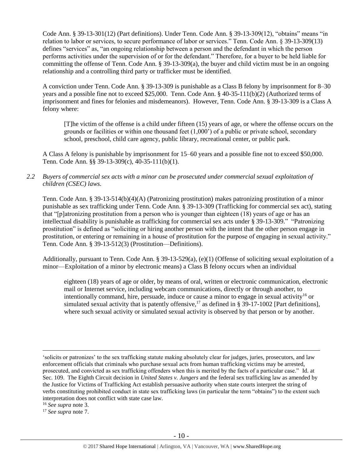Code Ann. § 39-13-301(12) (Part definitions). Under Tenn. Code Ann. § 39-13-309(12), "obtains" means "in relation to labor or services, to secure performance of labor or services." Tenn. Code Ann. § 39-13-309(13) defines "services" as, "an ongoing relationship between a person and the defendant in which the person performs activities under the supervision of or for the defendant." Therefore, for a buyer to be held liable for committing the offense of Tenn. Code Ann.  $\S$  39-13-309(a), the buyer and child victim must be in an ongoing relationship and a controlling third party or trafficker must be identified.

A conviction under Tenn. Code Ann. § 39-13-309 is punishable as a Class B felony by imprisonment for 8–30 years and a possible fine not to exceed \$25,000. Tenn. Code Ann. § 40-35-111(b)(2) (Authorized terms of imprisonment and fines for felonies and misdemeanors). However, Tenn. Code Ann. § 39-13-309 is a Class A felony where:

[T]he victim of the offense is a child under fifteen (15) years of age, or where the offense occurs on the grounds or facilities or within one thousand feet (1,000') of a public or private school, secondary school, preschool, child care agency, public library, recreational center, or public park.

A Class A felony is punishable by imprisonment for 15–60 years and a possible fine not to exceed \$50,000. Tenn. Code Ann. §§ 39-13-309(c), 40-35-111(b)(1).

*2.2 Buyers of commercial sex acts with a minor can be prosecuted under commercial sexual exploitation of children (CSEC) laws.*

Tenn. Code Ann. § 39-13-514(b)(4)(A) (Patronizing prostitution) makes patronizing prostitution of a minor punishable as sex trafficking under Tenn. Code Ann. § 39-13-309 (Trafficking for commercial sex act), stating that "[p]atronizing prostitution from a person who is younger than eighteen (18) years of age or has an intellectual disability is punishable as trafficking for commercial sex acts under § 39-13-309." "Patronizing prostitution" is defined as "soliciting or hiring another person with the intent that the other person engage in prostitution, or entering or remaining in a house of prostitution for the purpose of engaging in sexual activity." Tenn. Code Ann. § 39-13-512(3) (Prostitution—Definitions).

Additionally, pursuant to Tenn. Code Ann. § 39-13-529(a), (e)(1) (Offense of soliciting sexual exploitation of a minor—Exploitation of a minor by electronic means) a Class B felony occurs when an individual

eighteen (18) years of age or older, by means of oral, written or electronic communication, electronic mail or Internet service, including webcam communications, directly or through another, to intentionally command, hire, persuade, induce or cause a minor to engage in sexual activity<sup>16</sup> or simulated sexual activity that is patently offensive,<sup>17</sup> as defined in § 39-17-1002 [Part definitions], where such sexual activity or simulated sexual activity is observed by that person or by another.

<sup>16</sup> *See supra* note [3.](#page-1-0)

 $\overline{a}$ 

<sup>17</sup> *See supra* note [7.](#page-3-0)

<sup>&#</sup>x27;solicits or patronizes' to the sex trafficking statute making absolutely clear for judges, juries, prosecutors, and law enforcement officials that criminals who purchase sexual acts from human trafficking victims may be arrested, prosecuted, and convicted as sex trafficking offenders when this is merited by the facts of a particular case." Id. at Sec. 109. The Eighth Circuit decision in *United States v. Jungers* and the federal sex trafficking law as amended by the Justice for Victims of Trafficking Act establish persuasive authority when state courts interpret the string of verbs constituting prohibited conduct in state sex trafficking laws (in particular the term "obtains") to the extent such interpretation does not conflict with state case law.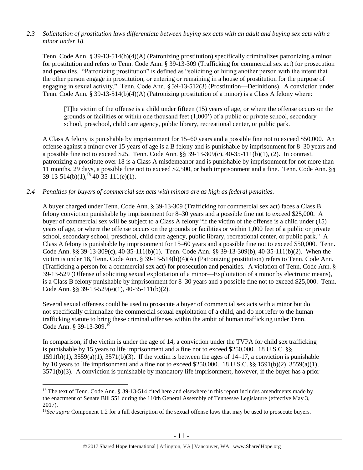## *2.3 Solicitation of prostitution laws differentiate between buying sex acts with an adult and buying sex acts with a minor under 18.*

Tenn. Code Ann. § 39-13-514(b)(4)(A) (Patronizing prostitution) specifically criminalizes patronizing a minor for prostitution and refers to Tenn. Code Ann. § 39-13-309 (Trafficking for commercial sex act) for prosecution and penalties. "Patronizing prostitution" is defined as "soliciting or hiring another person with the intent that the other person engage in prostitution, or entering or remaining in a house of prostitution for the purpose of engaging in sexual activity." Tenn. Code Ann. § 39-13-512(3) (Prostitution—Definitions). A conviction under Tenn. Code Ann. § 39-13-514(b)(4)(A) (Patronizing prostitution of a minor) is a Class A felony where:

[T]he victim of the offense is a child under fifteen (15) years of age, or where the offense occurs on the grounds or facilities or within one thousand feet (1,000') of a public or private school, secondary school, preschool, child care agency, public library, recreational center, or public park.

A Class A felony is punishable by imprisonment for 15–60 years and a possible fine not to exceed \$50,000. An offense against a minor over 15 years of age is a B felony and is punishable by imprisonment for 8–30 years and a possible fine not to exceed \$25. Tenn. Code Ann. §§ 39-13-309(c), 40-35-111(b)(1), (2). In contrast, patronizing a prostitute over 18 is a Class A misdemeanor and is punishable by imprisonment for not more than 11 months, 29 days, a possible fine not to exceed \$2,500, or both imprisonment and a fine. Tenn. Code Ann. §§  $39-13-514(b)(1)$ ,<sup>18</sup>  $40-35-111(e)(1)$ .

## *2.4 Penalties for buyers of commercial sex acts with minors are as high as federal penalties.*

A buyer charged under Tenn. Code Ann. § 39-13-309 (Trafficking for commercial sex act) faces a Class B felony conviction punishable by imprisonment for 8–30 years and a possible fine not to exceed \$25,000. A buyer of commercial sex will be subject to a Class A felony "if the victim of the offense is a child under (15) years of age, or where the offense occurs on the grounds or facilities or within 1,000 feet of a public or private school, secondary school, preschool, child care agency, public library, recreational center, or public park." A Class A felony is punishable by imprisonment for 15–60 years and a possible fine not to exceed \$50,000. Tenn. Code Ann. §§ 39-13-309(c), 40-35-111(b)(1). Tenn. Code Ann. §§ 39-13-309(b), 40-35-111(b)(2). When the victim is under 18, Tenn. Code Ann. § 39-13-514(b)(4)(A) (Patronizing prostitution) refers to Tenn. Code Ann. (Trafficking a person for a commercial sex act) for prosecution and penalties. A violation of Tenn. Code Ann. § 39-13-529 (Offense of soliciting sexual exploitation of a minor—Exploitation of a minor by electronic means), is a Class B felony punishable by imprisonment for 8–30 years and a possible fine not to exceed \$25,000. Tenn. Code Ann. §§ 39-13-529(e)(1), 40-35-111(b)(2).

Several sexual offenses could be used to prosecute a buyer of commercial sex acts with a minor but do not specifically criminalize the commercial sexual exploitation of a child, and do not refer to the human trafficking statute to bring these criminal offenses within the ambit of human trafficking under Tenn. Code Ann. § 39-13-309.<sup>19</sup>

<span id="page-10-0"></span>In comparison, if the victim is under the age of 14, a conviction under the TVPA for child sex trafficking is punishable by 15 years to life imprisonment and a fine not to exceed \$250,000. 18 U.S.C. §§  $1591(b)(1)$ ,  $3559(a)(1)$ ,  $3571(b)(3)$ . If the victim is between the ages of  $14-17$ , a conviction is punishable by 10 years to life imprisonment and a fine not to exceed \$250,000. 18 U.S.C. §§ 1591(b)(2), 3559(a)(1), 3571(b)(3). A conviction is punishable by mandatory life imprisonment, however, if the buyer has a prior

<sup>&</sup>lt;sup>18</sup> The text of Tenn. Code Ann. § 39-13-514 cited here and elsewhere in this report includes amendments made by the enactment of Senate Bill 551 during the 110th General Assembly of Tennessee Legislature (effective May 3, 2017).

<sup>19</sup>*See supra* Component 1.2 for a full description of the sexual offense laws that may be used to prosecute buyers.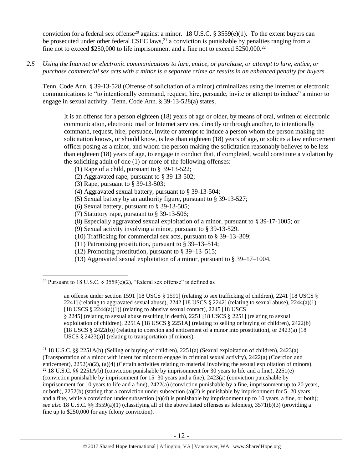<span id="page-11-0"></span>conviction for a federal sex offense<sup>20</sup> against a minor. 18 U.S.C. § 3559(e)(1). To the extent buyers can be prosecuted under other federal CSEC laws,<sup>21</sup> a conviction is punishable by penalties ranging from a fine not to exceed \$250,000 to life imprisonment and a fine not to exceed \$250,000.<sup>22</sup>

*2.5 Using the Internet or electronic communications to lure, entice, or purchase, or attempt to lure, entice, or purchase commercial sex acts with a minor is a separate crime or results in an enhanced penalty for buyers.*

Tenn. Code Ann. § 39-13-528 (Offense of solicitation of a minor) criminalizes using the Internet or electronic communications to "to intentionally command, request, hire, persuade, invite or attempt to induce" a minor to engage in sexual activity. Tenn. Code Ann. § 39-13-528(a) states,

It is an offense for a person eighteen (18) years of age or older, by means of oral, written or electronic communication, electronic mail or Internet services, directly or through another, to intentionally command, request, hire, persuade, invite or attempt to induce a person whom the person making the solicitation knows, or should know, is less than eighteen (18) years of age, or solicits a law enforcement officer posing as a minor, and whom the person making the solicitation reasonably believes to be less than eighteen (18) years of age, to engage in conduct that, if completed, would constitute a violation by the soliciting adult of one (1) or more of the following offenses:

- (1) Rape of a child, pursuant to [§ 39-13-522;](https://a.next.westlaw.com/Link/Document/FullText?findType=L&pubNum=1000039&cite=TNSTS39-13-522&originatingDoc=N61AFE9D1CCE411DB8F04FB3E68C8F4C5&refType=LQ&originationContext=document&transitionType=DocumentItem&contextData=(sc.UserEnteredCitation))
- (2) Aggravated rape, pursuant to [§ 39-13-502;](https://a.next.westlaw.com/Link/Document/FullText?findType=L&pubNum=1000039&cite=TNSTS39-13-502&originatingDoc=N61AFE9D1CCE411DB8F04FB3E68C8F4C5&refType=LQ&originationContext=document&transitionType=DocumentItem&contextData=(sc.UserEnteredCitation))
- (3) Rape, pursuant to [§ 39-13-503;](https://a.next.westlaw.com/Link/Document/FullText?findType=L&pubNum=1000039&cite=TNSTS39-13-503&originatingDoc=N61AFE9D1CCE411DB8F04FB3E68C8F4C5&refType=LQ&originationContext=document&transitionType=DocumentItem&contextData=(sc.UserEnteredCitation))
- (4) Aggravated sexual battery, pursuant to [§ 39-13-504;](https://a.next.westlaw.com/Link/Document/FullText?findType=L&pubNum=1000039&cite=TNSTS39-13-504&originatingDoc=N61AFE9D1CCE411DB8F04FB3E68C8F4C5&refType=LQ&originationContext=document&transitionType=DocumentItem&contextData=(sc.UserEnteredCitation))
- (5) Sexual battery by an authority figure, pursuant to [§ 39-13-527;](https://a.next.westlaw.com/Link/Document/FullText?findType=L&pubNum=1000039&cite=TNSTS39-13-527&originatingDoc=N61AFE9D1CCE411DB8F04FB3E68C8F4C5&refType=LQ&originationContext=document&transitionType=DocumentItem&contextData=(sc.UserEnteredCitation))
- (6) Sexual battery, pursuant to [§ 39-13-505;](https://a.next.westlaw.com/Link/Document/FullText?findType=L&pubNum=1000039&cite=TNSTS39-13-505&originatingDoc=N61AFE9D1CCE411DB8F04FB3E68C8F4C5&refType=LQ&originationContext=document&transitionType=DocumentItem&contextData=(sc.UserEnteredCitation))
- (7) Statutory rape, pursuant to [§ 39-13-506;](https://a.next.westlaw.com/Link/Document/FullText?findType=L&pubNum=1000039&cite=TNSTS39-13-506&originatingDoc=N61AFE9D1CCE411DB8F04FB3E68C8F4C5&refType=LQ&originationContext=document&transitionType=DocumentItem&contextData=(sc.UserEnteredCitation))
- (8) Especially aggravated sexual exploitation of a minor, pursuant to [§ 39-17-1005;](https://a.next.westlaw.com/Link/Document/FullText?findType=L&pubNum=1000039&cite=TNSTS39-17-1005&originatingDoc=N61AFE9D1CCE411DB8F04FB3E68C8F4C5&refType=LQ&originationContext=document&transitionType=DocumentItem&contextData=(sc.UserEnteredCitation)) or
- (9) Sexual activity involving a minor, pursuant to [§ 39-13-529.](https://a.next.westlaw.com/Link/Document/FullText?findType=L&pubNum=1000039&cite=TNSTS39-13-529&originatingDoc=N61AFE9D1CCE411DB8F04FB3E68C8F4C5&refType=LQ&originationContext=document&transitionType=DocumentItem&contextData=(sc.UserEnteredCitation))
- (10) Trafficking for commercial sex acts, pursuant to § 39–13–309;
- (11) Patronizing prostitution, pursuant to § 39–13–514;
- (12) Promoting prostitution, pursuant to § 39–13–515;
- (13) Aggravated sexual exploitation of a minor, pursuant to § 39–17–1004.

 $\overline{a}$ <sup>20</sup> Pursuant to 18 U.S.C.  $\delta$  3559(e)(2), "federal sex offense" is defined as

an offense under section 1591 [18 USCS § 1591] (relating to sex trafficking of children), 2241 [18 USCS § 2241] (relating to aggravated sexual abuse), 2242 [18 USCS  $\S$  2242] (relating to sexual abuse), 2244(a)(1) [18 USCS  $\S$  2244(a)(1)] (relating to abusive sexual contact), 2245 [18 USCS § 2245] (relating to sexual abuse resulting in death), 2251 [18 USCS § 2251] (relating to sexual exploitation of children), 2251A [18 USCS § 2251A] (relating to selling or buying of children), 2422(b) [18 USCS § 2422(b)] (relating to coercion and enticement of a minor into prostitution), or 2423(a) [18 USCS § 2423(a)] (relating to transportation of minors).

<sup>21</sup> 18 U.S.C. §§ 2251A(b) (Selling or buying of children), 2251(a) (Sexual exploitation of children), 2423(a) (Transportation of a minor with intent for minor to engage in criminal sexual activity), 2422(a) (Coercion and enticement), 2252(a)(2), (a)(4) (Certain activities relating to material involving the sexual exploitation of minors). <sup>22</sup> 18 U.S.C. §§ 2251A(b) (conviction punishable by imprisonment for 30 years to life and a fine), 2251(e) (conviction punishable by imprisonment for 15–30 years and a fine), 2423(a) (conviction punishable by imprisonment for 10 years to life and a fine), 2422(a) (conviction punishable by a fine, imprisonment up to 20 years, or both), 2252(b) (stating that a conviction under subsection (a)(2) is punishable by imprisonment for  $5-20$  years and a fine, while a conviction under subsection (a)(4) is punishable by imprisonment up to 10 years, a fine, or both); *see also* 18 U.S.C. §§ 3559(a)(1) (classifying all of the above listed offenses as felonies), 3571(b)(3) (providing a fine up to \$250,000 for any felony conviction).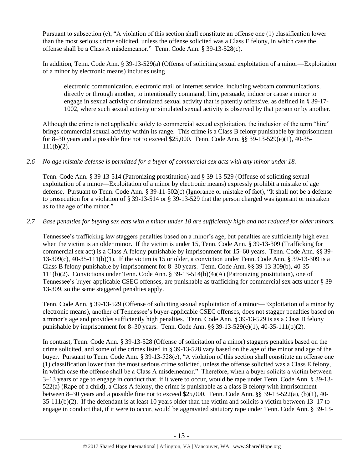Pursuant to subsection (c), "A violation of this section shall constitute an offense one (1) classification lower than the most serious crime solicited, unless the offense solicited was a Class E felony, in which case the offense shall be a Class A misdemeanor." Tenn. Code Ann. § 39-13-528(c).

In addition, Tenn. Code Ann. § 39-13-529(a) (Offense of soliciting sexual exploitation of a minor—Exploitation of a minor by electronic means) includes using

electronic communication, electronic mail or Internet service, including webcam communications, directly or through another, to intentionally command, hire, persuade, induce or cause a minor to engage in sexual activity or simulated sexual activity that is patently offensive, as defined in § 39-17- 1002, where such sexual activity or simulated sexual activity is observed by that person or by another.

Although the crime is not applicable solely to commercial sexual exploitation, the inclusion of the term "hire" brings commercial sexual activity within its range. This crime is a Class B felony punishable by imprisonment for 8–30 years and a possible fine not to exceed \$25,000. Tenn. Code Ann. §§ 39-13-529(e)(1), 40-35-  $111(b)(2)$ .

## *2.6 No age mistake defense is permitted for a buyer of commercial sex acts with any minor under 18.*

Tenn. Code Ann. § 39-13-514 (Patronizing prostitution) and § 39-13-529 (Offense of soliciting sexual exploitation of a minor—Exploitation of a minor by electronic means) expressly prohibit a mistake of age defense. Pursuant to Tenn. Code Ann. § 39-11-502(c) (Ignorance or mistake of fact), "It shall not be a defense to prosecution for a violation of § 39-13-514 or § 39-13-529 that the person charged was ignorant or mistaken as to the age of the minor."

## *2.7 Base penalties for buying sex acts with a minor under 18 are sufficiently high and not reduced for older minors.*

Tennessee's trafficking law staggers penalties based on a minor's age, but penalties are sufficiently high even when the victim is an older minor. If the victim is under 15, Tenn. Code Ann. § 39-13-309 (Trafficking for commercial sex act) is a Class A felony punishable by imprisonment for 15–60 years. Tenn. Code Ann. §§ 39-  $13-309(c)$ ,  $40-35-111(b)(1)$ . If the victim is 15 or older, a conviction under Tenn. Code Ann. § 39-13-309 is a Class B felony punishable by imprisonment for 8–30 years. Tenn. Code Ann. §§ 39-13-309(b), 40-35- 111(b)(2). Convictions under Tenn. Code Ann. § 39-13-514(b)(4)(A) (Patronizing prostitution), one of Tennessee's buyer-applicable CSEC offenses, are punishable as trafficking for commercial sex acts under § 39- 13-309, so the same staggered penalties apply.

Tenn. Code Ann. § 39-13-529 (Offense of soliciting sexual exploitation of a minor—Exploitation of a minor by electronic means), another of Tennessee's buyer-applicable CSEC offenses, does not stagger penalties based on a minor's age and provides sufficiently high penalties. Tenn. Code Ann. § 39-13-529 is as a Class B felony punishable by imprisonment for 8–30 years. Tenn. Code Ann. §§ 39-13-529(e)(1), 40-35-111(b)(2).

In contrast, Tenn. Code Ann. § 39-13-528 (Offense of solicitation of a minor) staggers penalties based on the crime solicited, and some of the crimes listed in § 39-13-528 vary based on the age of the minor and age of the buyer. Pursuant to Tenn. Code Ann. § 39-13-528(c), "A violation of this section shall constitute an offense one (1) classification lower than the most serious crime solicited, unless the offense solicited was a Class E felony, in which case the offense shall be a Class A misdemeanor." Therefore, when a buyer solicits a victim between 3–13 years of age to engage in conduct that, if it were to occur, would be rape under Tenn. Code Ann. § 39-13- 522(a) (Rape of a child), a Class A felony, the crime is punishable as a class B felony with imprisonment between 8–30 years and a possible fine not to exceed \$25,000. Tenn. Code Ann. §§ 39-13-522(a), (b)(1), 40- 35-111(b)(2). If the defendant is at least 10 years older than the victim and solicits a victim between 13–17 to engage in conduct that, if it were to occur, would be aggravated statutory rape under Tenn. Code Ann. § 39-13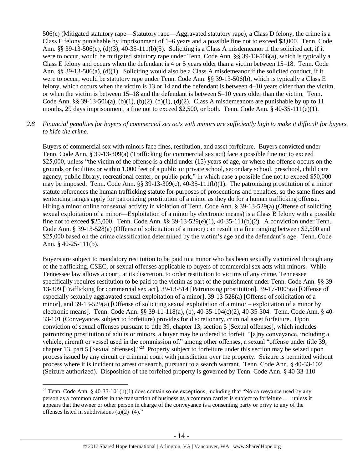506(c) (Mitigated statutory rape—Statutory rape—Aggravated statutory rape), a Class D felony, the crime is a Class E felony punishable by imprisonment of 1–6 years and a possible fine not to exceed \$3,000. Tenn. Code Ann. §§ 39-13-506(c), (d)(3), 40-35-111(b)(5). Soliciting is a Class A misdemeanor if the solicited act, if it were to occur, would be mitigated statutory rape under Tenn. Code Ann. §§ 39-13-506(a), which is typically a Class E felony and occurs when the defendant is 4 or 5 years older than a victim between 15–18. Tenn. Code Ann. §§ 39-13-506(a), (d)(1). Soliciting would also be a Class A misdemeanor if the solicited conduct, if it were to occur, would be statutory rape under Tenn. Code Ann. §§ 39-13-506(b), which is typically a Class E felony, which occurs when the victim is 13 or 14 and the defendant is between 4–10 years older than the victim, or when the victim is between 15–18 and the defendant is between 5–10 years older than the victim. Tenn. Code Ann. §§ 39-13-506(a), (b)(1), (b)(2), (d)(1), (d)(2). Class A misdemeanors are punishable by up to 11 months, 29 days imprisonment, a fine not to exceed \$2,500, or both. Tenn. Code Ann. § 40-35-111(e)(1).

#### *2.8 Financial penalties for buyers of commercial sex acts with minors are sufficiently high to make it difficult for buyers to hide the crime.*

Buyers of commercial sex with minors face fines, restitution, and asset forfeiture. Buyers convicted under Tenn. Code Ann. § 39-13-309(a) (Trafficking for commercial sex act) face a possible fine not to exceed \$25,000, unless "the victim of the offense is a child under (15) years of age, or where the offense occurs on the grounds or facilities or within 1,000 feet of a public or private school, secondary school, preschool, child care agency, public library, recreational center, or public park," in which case a possible fine not to exceed \$50,000 may be imposed. Tenn. Code Ann. §§  $39-13-309(c)$ ,  $40-35-111(b)(1)$ . The patronizing prostitution of a minor statute references the human trafficking statute for purposes of prosecutions and penalties, so the same fines and sentencing ranges apply for patronizing prostitution of a minor as they do for a human trafficking offense. Hiring a minor online for sexual activity in violation of Tenn. Code Ann. § 39-13-529(a) (Offense of soliciting sexual exploitation of a minor—Exploitation of a minor by electronic means) is a Class B felony with a possible fine not to exceed \$25,000. Tenn. Code Ann. §§ 39-13-529(e)(1), 40-35-111(b)(2). A conviction under Tenn. Code Ann. § 39-13-528(a) (Offense of solicitation of a minor) can result in a fine ranging between \$2,500 and \$25,000 based on the crime classification determined by the victim's age and the defendant's age. Tenn. Code Ann. § 40-25-111(b).

Buyers are subject to mandatory restitution to be paid to a minor who has been sexually victimized through any of the trafficking, CSEC, or sexual offenses applicable to buyers of commercial sex acts with minors. While Tennessee law allows a court, at its discretion, to order restitution to victims of any crime, Tennessee specifically requires restitution to be paid to the victim as part of the punishment under Tenn. Code Ann. §§ 39- 13-309 [Trafficking for commercial sex act], 39-13-514 [Patronizing prostitution], 39-17-1005(a) [Offense of especially sexually aggravated sexual exploitation of a minor], 39-13-528(a) [Offense of solicitation of a minor], and 39-13-529(a) [Offense of soliciting sexual exploitation of a minor – exploitation of a minor by electronic means]. Tenn. Code Ann. §§ 39-11-118(a), (b), 40-35-104(c)(2), 40-35-304. Tenn. Code Ann. § 40- 33-101 (Conveyances subject to forfeiture) provides for discretionary, criminal asset forfeiture. Upon conviction of sexual offenses pursuant to title 39, chapter 13, section 5 [Sexual offenses], which includes patronizing prostitution of adults or minors, a buyer may be ordered to forfeit "[a]ny conveyance, including a vehicle, aircraft or vessel used in the commission of," among other offenses, a sexual "offense under title 39, chapter 13, part 5 [Sexual offenses]."<sup>23</sup> Property subject to forfeiture under this section may be seized upon process issued by any circuit or criminal court with jurisdiction over the property. Seizure is permitted without process where it is incident to arrest or search, pursuant to a search warrant. Tenn. Code Ann. § 40-33-102 (Seizure authorized). Disposition of the forfeited property is governed by Tenn. Code Ann. § 40-33-110

<sup>&</sup>lt;sup>23</sup> Tenn. Code Ann. § 40-33-101(b)(1) does contain some exceptions, including that "No conveyance used by any person as a common carrier in the transaction of business as a common carrier is subject to forfeiture . . . unless it appears that the owner or other person in charge of the conveyance is a consenting party or privy to any of the offenses listed in subdivisions  $(a)(2)$ – $(4)$ ."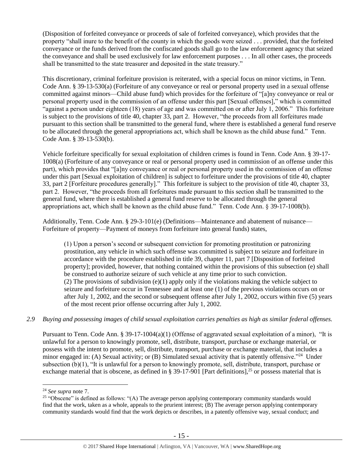(Disposition of forfeited conveyance or proceeds of sale of forfeited conveyance), which provides that the property "shall inure to the benefit of the county in which the goods were seized . . . provided, that the forfeited conveyance or the funds derived from the confiscated goods shall go to the law enforcement agency that seized the conveyance and shall be used exclusively for law enforcement purposes . . . In all other cases, the proceeds shall be transmitted to the state treasurer and deposited in the state treasury."

This discretionary, criminal forfeiture provision is reiterated, with a special focus on minor victims, in Tenn. Code Ann. § 39-13-530(a) (Forfeiture of any conveyance or real or personal property used in a sexual offense committed against minors—Child abuse fund) which provides for the forfeiture of "[a]ny conveyance or real or personal property used in the commission of an offense under this part [Sexual offenses]," which is committed "against a person under eighteen (18) years of age and was committed on or after July 1, 2006." This forfeiture is subject to the provisions of title 40, chapter 33, part 2. However, "the proceeds from all forfeitures made pursuant to this section shall be transmitted to the general fund, where there is established a general fund reserve to be allocated through the general appropriations act, which shall be known as the child abuse fund." Tenn. Code Ann. § 39-13-530(b).

Vehicle forfeiture specifically for sexual exploitation of children crimes is found in Tenn. Code Ann. § 39-17- 1008(a) (Forfeiture of any conveyance or real or personal property used in commission of an offense under this part), which provides that "[a]ny conveyance or real or personal property used in the commission of an offense under this part [Sexual exploitation of children] is subject to forfeiture under the provisions of title 40, chapter 33, part 2 [Forfeiture procedures generally]." This forfeiture is subject to the provision of title 40, chapter 33, part 2. However, "the proceeds from all forfeitures made pursuant to this section shall be transmitted to the general fund, where there is established a general fund reserve to be allocated through the general appropriations act, which shall be known as the child abuse fund." Tenn. Code Ann. § 39-17-1008(b).

Additionally, Tenn. Code Ann. § 29-3-101(e) (Definitions—Maintenance and abatement of nuisance— Forfeiture of property—Payment of moneys from forfeiture into general funds) states,

(1) Upon a person's second or subsequent conviction for promoting prostitution or patronizing prostitution, any vehicle in which such offense was committed is subject to seizure and forfeiture in accordance with the procedure established in title 39, chapter 11, part 7 [Disposition of forfeited property]; provided, however, that nothing contained within the provisions of this subsection (e) shall be construed to authorize seizure of such vehicle at any time prior to such conviction. (2) The provisions of subdivision  $(e)(1)$  apply only if the violations making the vehicle subject to seizure and forfeiture occur in Tennessee and at least one (1) of the previous violations occurs on or after July 1, 2002, and the second or subsequent offense after July 1, 2002, occurs within five (5) years of the most recent prior offense occurring after July 1, 2002.

#### *2.9 Buying and possessing images of child sexual exploitation carries penalties as high as similar federal offenses.*

Pursuant to Tenn. Code Ann. § 39-17-1004(a)(1) (Offense of aggravated sexual exploitation of a minor), "It is unlawful for a person to knowingly promote, sell, distribute, transport, purchase or exchange material, or possess with the intent to promote, sell, distribute, transport, purchase or exchange material, that includes a minor engaged in: (A) Sexual activity; or (B) Simulated sexual activity that is patently offensive."<sup>24</sup> Under subsection (b)(1), "It is unlawful for a person to knowingly promote, sell, distribute, transport, purchase or exchange material that is obscene, as defined in § 39-17-901 [Part definitions],<sup>25</sup> or possess material that is

<span id="page-14-0"></span><sup>24</sup> *See supra* note [7.](#page-3-0)

<sup>&</sup>lt;sup>25</sup> "Obscene" is defined as follows: "(A) The average person applying contemporary community standards would find that the work, taken as a whole, appeals to the prurient interest; (B) The average person applying contemporary community standards would find that the work depicts or describes, in a patently offensive way, sexual conduct; and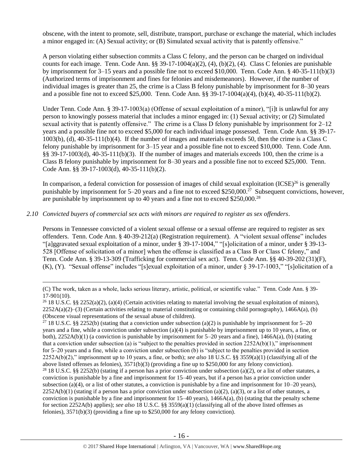obscene, with the intent to promote, sell, distribute, transport, purchase or exchange the material, which includes a minor engaged in: (A) Sexual activity; or (B) Simulated sexual activity that is patently offensive."

A person violating either subsection commits a Class C felony, and the person can be charged on individual counts for each image. Tenn. Code Ann. §§ 39-17-1004(a)(2), (4), (b)(2), (4). Class C felonies are punishable by imprisonment for 3–15 years and a possible fine not to exceed \$10,000. Tenn. Code Ann. § 40-35-111(b)(3) (Authorized terms of imprisonment and fines for felonies and misdemeanors). However, if the number of individual images is greater than 25, the crime is a Class B felony punishable by imprisonment for 8–30 years and a possible fine not to exceed \$25,000. Tenn. Code Ann. §§ 39-17-1004(a)(4), (b)(4), 40-35-111(b)(2).

Under Tenn. Code Ann. § 39-17-1003(a) (Offense of sexual exploitation of a minor), "[i]t is unlawful for any person to knowingly possess material that includes a minor engaged in: (1) Sexual activity; or (2) Simulated sexual activity that is patently offensive." The crime is a Class D felony punishable by imprisonment for 2–12 years and a possible fine not to exceed \$5,000 for each individual image possessed. Tenn. Code Ann. §§ 39-17- 1003(b), (d), 40-35-111(b)(4). If the number of images and materials exceeds 50, then the crime is a Class C felony punishable by imprisonment for 3–15 year and a possible fine not to exceed \$10,000. Tenn. Code Ann. §§ 39-17-1003(d), 40-35-111(b)(3). If the number of images and materials exceeds 100, then the crime is a Class B felony punishable by imprisonment for 8–30 years and a possible fine not to exceed \$25,000. Tenn. Code Ann. §§ 39-17-1003(d), 40-35-111(b)(2).

In comparison, a federal conviction for possession of images of child sexual exploitation  $(ICSE)^{26}$  is generally punishable by imprisonment for 5–20 years and a fine not to exceed \$250,000.<sup>27</sup> Subsequent convictions, however, are punishable by imprisonment up to 40 years and a fine not to exceed \$250,000.<sup>28</sup>

#### *2.10 Convicted buyers of commercial sex acts with minors are required to register as sex offenders*.

 $\overline{a}$ 

Persons in Tennessee convicted of a violent sexual offense or a sexual offense are required to register as sex offenders. Tenn. Code Ann. § 40-39-212(a) (Registration requirement). A "violent sexual offense" includes "[a]ggravated sexual exploitation of a minor, under § 39-17-1004," "[s]olicitation of a minor, under § 39-13- 528 [Offense of solicitation of a minor] when the offense is classified as a Class B or Class C felony," and Tenn. Code Ann. § 39-13-309 (Trafficking for commercial sex act). Tenn. Code Ann. §§ 40-39-202 (31)(F), (K), (Y). "Sexual offense" includes "[s]exual exploitation of a minor, under § 39-17-1003," "[s]olicitation of a

<sup>(</sup>C) The work, taken as a whole, lacks serious literary, artistic, political, or scientific value." Tenn. Code Ann. § 39- 17-901(10).

<sup>&</sup>lt;sup>26</sup> 18 U.S.C. §§ 2252(a)(2), (a)(4) (Certain activities relating to material involving the sexual exploitation of minors),  $2252A(a)(2)$ –(3) (Certain activities relating to material constituting or containing child pornography), 1466A(a), (b) (Obscene visual representations of the sexual abuse of children).

<sup>&</sup>lt;sup>27</sup> 18 U.S.C. §§ 2252(b) (stating that a conviction under subsection (a)(2) is punishable by imprisonment for 5–20 years and a fine, while a conviction under subsection (a)(4) is punishable by imprisonment up to 10 years, a fine, or both),  $2252A(b)(1)$  (a conviction is punishable by imprisonment for 5–20 years and a fine),  $1466A(a)$ , (b) (stating that a conviction under subsection (a) is "subject to the penalties provided in section  $2252A(b)(1)$ ," imprisonment for 5–20 years and a fine, while a conviction under subsection (b) is "subject to the penalties provided in section 2252A(b)(2)," imprisonment up to 10 years, a fine, or both); *see also* 18 U.S.C. §§ 3559(a)(1) (classifying all of the above listed offenses as felonies), 3571(b)(3) (providing a fine up to \$250,000 for any felony conviction).

<sup>&</sup>lt;sup>28</sup> 18 U.S.C. §§ 2252(b) (stating if a person has a prior conviction under subsection (a)(2), or a list of other statutes, a conviction is punishable by a fine and imprisonment for 15–40 years, but if a person has a prior conviction under subsection (a)(4), or a list of other statutes, a conviction is punishable by a fine and imprisonment for  $10-20$  years),  $2252A(b)(1)$  (stating if a person has a prior conviction under subsection (a)(2), (a)(3), or a list of other statutes, a conviction is punishable by a fine and imprisonment for  $15-40$  years),  $1466A(a)$ , (b) (stating that the penalty scheme for section 2252A(b) applies); *see also* 18 U.S.C. §§ 3559(a)(1) (classifying all of the above listed offenses as felonies), 3571(b)(3) (providing a fine up to \$250,000 for any felony conviction).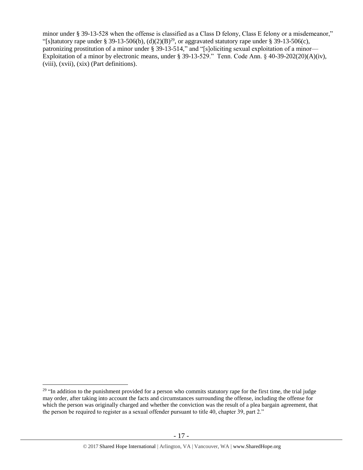minor under § 39-13-528 when the offense is classified as a Class D felony, Class E felony or a misdemeanor," "[s]tatutory rape under § 39-13-506(b),  $(d)(2)(B)^{29}$ , or aggravated statutory rape under § 39-13-506(c), patronizing prostitution of a minor under § 39-13-514," and "[s]oliciting sexual exploitation of a minor— Exploitation of a minor by electronic means, under § 39-13-529." Tenn. Code Ann. § 40-39-202(20)(A)(iv), (viii), (xvii), (xix) (Part definitions).

<sup>&</sup>lt;sup>29</sup> "In addition to the punishment provided for a person who commits statutory rape for the first time, the trial judge may order, after taking into account the facts and circumstances surrounding the offense, including the offense for which the person was originally charged and whether the conviction was the result of a plea bargain agreement, that the person be required to register as a sexual offender pursuant to title 40, chapter 39, part 2."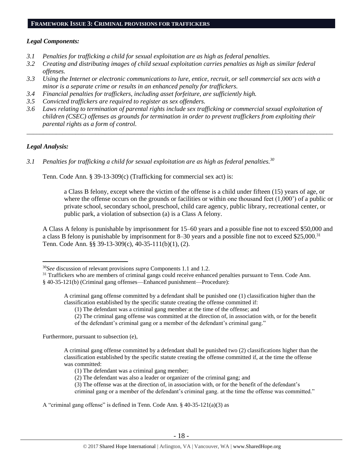## *Legal Components:*

- *3.1 Penalties for trafficking a child for sexual exploitation are as high as federal penalties.*
- *3.2 Creating and distributing images of child sexual exploitation carries penalties as high as similar federal offenses.*
- *3.3 Using the Internet or electronic communications to lure, entice, recruit, or sell commercial sex acts with a minor is a separate crime or results in an enhanced penalty for traffickers.*
- *3.4 Financial penalties for traffickers, including asset forfeiture, are sufficiently high.*
- *3.5 Convicted traffickers are required to register as sex offenders.*
- *3.6 Laws relating to termination of parental rights include sex trafficking or commercial sexual exploitation of children (CSEC) offenses as grounds for termination in order to prevent traffickers from exploiting their parental rights as a form of control.*

*\_\_\_\_\_\_\_\_\_\_\_\_\_\_\_\_\_\_\_\_\_\_\_\_\_\_\_\_\_\_\_\_\_\_\_\_\_\_\_\_\_\_\_\_\_\_\_\_\_\_\_\_\_\_\_\_\_\_\_\_\_\_\_\_\_\_\_\_\_\_\_\_\_\_\_\_\_\_\_\_\_\_\_\_\_\_\_\_\_\_\_\_\_\_*

## *Legal Analysis:*

 $\overline{a}$ 

*3.1 Penalties for trafficking a child for sexual exploitation are as high as federal penalties.<sup>30</sup>*

Tenn. Code Ann. § 39-13-309(c) (Trafficking for commercial sex act) is:

a Class B felony, except where the victim of the offense is a child under fifteen (15) years of age, or where the offense occurs on the grounds or facilities or within one thousand feet (1,000') of a public or private school, secondary school, preschool, child care agency, public library, recreational center, or public park, a violation of subsection (a) is a Class A felony.

A Class A felony is punishable by imprisonment for 15–60 years and a possible fine not to exceed \$50,000 and a class B felony is punishable by imprisonment for 8–30 years and a possible fine not to exceed \$25,000.<sup>31</sup> Tenn. Code Ann. §§ 39-13-309(c), 40-35-111(b)(1), (2).

<sup>31</sup> Traffickers who are members of criminal gangs could receive enhanced penalties pursuant to Tenn. Code Ann.

Furthermore, pursuant to subsection (e),

<sup>30</sup>*See* discussion of relevant provisions *supra* Components 1.1 and 1.2.

<sup>§ 40-35-121(</sup>b) (Criminal gang offenses—Enhanced punishment—Procedure):

A criminal gang offense committed by a defendant shall be punished one (1) classification higher than the classification established by the specific statute creating the offense committed if:

<sup>(1)</sup> The defendant was a criminal gang member at the time of the offense; and

<sup>(2)</sup> The criminal gang offense was committed at the direction of, in association with, or for the benefit

of the defendant's criminal gang or a member of the defendant's criminal gang."

A criminal gang offense committed by a defendant shall be punished two (2) classifications higher than the classification established by the specific statute creating the offense committed if, at the time the offense was committed:

<sup>(1)</sup> The defendant was a criminal gang member;

<sup>(2)</sup> The defendant was also a leader or organizer of the criminal gang; and

<sup>(3)</sup> The offense was at the direction of, in association with, or for the benefit of the defendant's

criminal gang or a member of the defendant's criminal gang. at the time the offense was committed."

A "criminal gang offense" is defined in Tenn. Code Ann. § 40-35-121(a)(3) as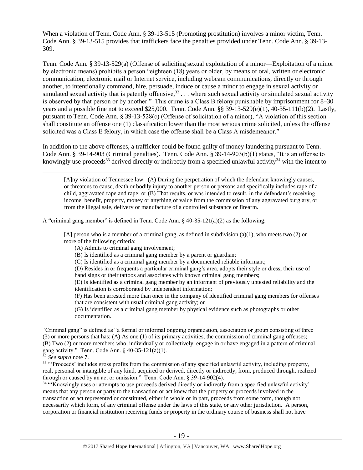When a violation of Tenn. Code Ann. § 39-13-515 (Promoting prostitution) involves a minor victim, Tenn. Code Ann. § 39-13-515 provides that traffickers face the penalties provided under Tenn. Code Ann. § 39-13- 309.

Tenn. Code Ann. § 39-13-529(a) (Offense of soliciting sexual exploitation of a minor—Exploitation of a minor by electronic means) prohibits a person "eighteen (18) years or older, by means of oral, written or electronic communication, electronic mail or Internet service, including webcam communications, directly or through another, to intentionally command, hire, persuade, induce or cause a minor to engage in sexual activity or simulated sexual activity that is patently offensive,<sup>32</sup> . . . where such sexual activity or simulated sexual activity is observed by that person or by another." This crime is a Class B felony punishable by imprisonment for 8–30 years and a possible fine not to exceed \$25,000. Tenn. Code Ann. §§ 39-13-529(e)(1), 40-35-111(b)(2). Lastly, pursuant to Tenn. Code Ann. § 39-13-528(c) (Offense of solicitation of a minor), "A violation of this section shall constitute an offense one (1) classification lower than the most serious crime solicited, unless the offense solicited was a Class E felony, in which case the offense shall be a Class A misdemeanor."

In addition to the above offenses, a trafficker could be found guilty of money laundering pursuant to Tenn. Code Ann. § 39-14-903 (Criminal penalties). Tenn. Code Ann. § 39-14-903(b)(1) states, "It is an offense to knowingly use proceeds<sup>33</sup> derived directly or indirectly from a specified unlawful activity<sup>34</sup> with the intent to

<span id="page-18-1"></span><span id="page-18-0"></span>[A]ny violation of Tennessee law: (A) During the perpetration of which the defendant knowingly causes, or threatens to cause, death or bodily injury to another person or persons and specifically includes rape of a child, aggravated rape and rape; or (B) That results, or was intended to result, in the defendant's receiving income, benefit, property, money or anything of value from the commission of any aggravated burglary, or from the illegal sale, delivery or manufacture of a controlled substance or firearm.

A "criminal gang member" is defined in Tenn. Code Ann.  $\S$  40-35-121(a)(2) as the following:

[A] person who is a member of a criminal gang, as defined in subdivision (a)(1), who meets two (2) or more of the following criteria:

(A) Admits to criminal gang involvement;

(B) Is identified as a criminal gang member by a parent or guardian;

(C) Is identified as a criminal gang member by a documented reliable informant;

(D) Resides in or frequents a particular criminal gang's area, adopts their style or dress, their use of hand signs or their tattoos and associates with known criminal gang members;

(E) Is identified as a criminal gang member by an informant of previously untested reliability and the identification is corroborated by independent information;

(F) Has been arrested more than once in the company of identified criminal gang members for offenses that are consistent with usual criminal gang activity; or

(G) Is identified as a criminal gang member by physical evidence such as photographs or other documentation.

"Criminal gang" is defined as "a formal or informal ongoing organization, association or group consisting of three (3) or more persons that has: (A) As one (1) of its primary activities, the commission of criminal gang offenses; (B) Two (2) or more members who, individually or collectively, engage in or have engaged in a pattern of criminal gang activity." Tenn. Code Ann. § 40-35-121(a)(1).

<sup>32</sup> *See supra* note [7.](#page-3-0)

 $\overline{a}$ 

<sup>33</sup> "Proceeds' includes gross profits from the commission of any specified unlawful activity, including property, real, personal or intangible of any kind, acquired or derived, directly or indirectly, from, produced through, realized through or caused by an act or omission." Tenn. Code Ann. § 39-14-902(4).

<sup>34</sup> "Knowingly uses or attempts to use proceeds derived directly or indirectly from a specified unlawful activity' means that any person or party to the transaction or act knew that the property or proceeds involved in the transaction or act represented or constituted, either in whole or in part, proceeds from some form, though not necessarily which form, of any criminal offense under the laws of this state, or any other jurisdiction. A person, corporation or financial institution receiving funds or property in the ordinary course of business shall not have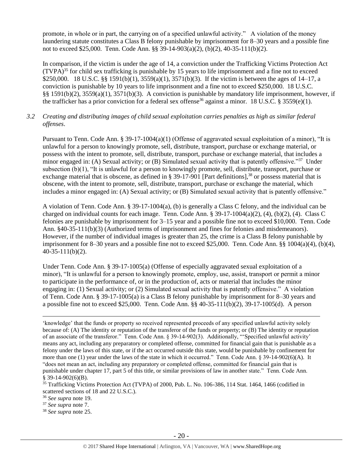promote, in whole or in part, the carrying on of a specified unlawful activity." A violation of the money laundering statute constitutes a Class B felony punishable by imprisonment for 8–30 years and a possible fine not to exceed \$25,000. Tenn. Code Ann. §§ 39-14-903(a)(2), (b)(2), 40-35-111(b)(2).

In comparison, if the victim is under the age of 14, a conviction under the Trafficking Victims Protection Act (TVPA)<sup>35</sup> for child sex trafficking is punishable by 15 years to life imprisonment and a fine not to exceed \$250,000. 18 U.S.C. §§ 1591(b)(1), 3559(a)(1), 3571(b)(3). If the victim is between the ages of 14–17, a conviction is punishable by 10 years to life imprisonment and a fine not to exceed \$250,000. 18 U.S.C. §§ 1591(b)(2), 3559(a)(1), 3571(b)(3). A conviction is punishable by mandatory life imprisonment, however, if the trafficker has a prior conviction for a federal sex offense<sup>36</sup> against a minor. 18 U.S.C. § 3559(e)(1).

## *3.2 Creating and distributing images of child sexual exploitation carries penalties as high as similar federal offenses*.

Pursuant to Tenn. Code Ann. § 39-17-1004(a)(1) (Offense of aggravated sexual exploitation of a minor), "It is unlawful for a person to knowingly promote, sell, distribute, transport, purchase or exchange material, or possess with the intent to promote, sell, distribute, transport, purchase or exchange material, that includes a minor engaged in: (A) Sexual activity; or (B) Simulated sexual activity that is patently offensive."<sup>37</sup> Under subsection (b)(1), "It is unlawful for a person to knowingly promote, sell, distribute, transport, purchase or exchange material that is obscene, as defined in § 39-17-901 [Part definitions],<sup>38</sup> or possess material that is obscene, with the intent to promote, sell, distribute, transport, purchase or exchange the material, which includes a minor engaged in: (A) Sexual activity; or (B) Simulated sexual activity that is patently offensive."

A violation of Tenn. Code Ann. § 39-17-1004(a), (b) is generally a Class C felony, and the individual can be charged on individual counts for each image. Tenn. Code Ann. §  $39-17-1004(a)(2)$ ,  $(4)$ ,  $(b)(2)$ ,  $(4)$ . Class C felonies are punishable by imprisonment for 3–15 year and a possible fine not to exceed \$10,000. Tenn. Code Ann. §40-35-111(b)(3) (Authorized terms of imprisonment and fines for felonies and misdemeanors). However, if the number of individual images is greater than 25, the crime is a Class B felony punishable by imprisonment for 8–30 years and a possible fine not to exceed \$25,000. Tenn. Code Ann. §§ 1004(a)(4), (b)(4), 40-35-111(b)(2).

Under Tenn. Code Ann. § 39-17-1005(a) (Offense of especially aggravated sexual exploitation of a minor), "It is unlawful for a person to knowingly promote, employ, use, assist, transport or permit a minor to participate in the performance of, or in the production of, acts or material that includes the minor engaging in: (1) Sexual activity; or (2) Simulated sexual activity that is patently offensive." A violation of Tenn. Code Ann. § 39-17-1005(a) is a Class B felony punishable by imprisonment for 8–30 years and a possible fine not to exceed \$25,000. Tenn. Code Ann. §§ 40-35-111(b)(2), 39-17-1005(d). A person

'knowledge' that the funds or property so received represented proceeds of any specified unlawful activity solely because of: (A) The identity or reputation of the transferor of the funds or property; or (B) The identity or reputation of an associate of the transferor." Tenn. Code Ann. § 39-14-902(3). Additionally, "'Specified unlawful activity' means any act, including any preparatory or completed offense, committed for financial gain that is punishable as a felony under the laws of this state, or if the act occurred outside this state, would be punishable by confinement for more than one (1) year under the laws of the state in which it occurred." Tenn. Code Ann. § 39-14-902(6)(A). It "does not mean an act, including any preparatory or completed offense, committed for financial gain that is punishable under chapter 17, part 5 of this title, or similar provisions of law in another state." Tenn. Code Ann.  $§$  39-14-902(6)(B).

<sup>&</sup>lt;sup>35</sup> Trafficking Victims Protection Act (TVPA) of 2000, Pub. L. No. 106-386, 114 Stat. 1464, 1466 (codified in scattered sections of 18 and 22 U.S.C.).

<sup>36</sup> *See supra* note [19.](#page-10-0) 

<sup>37</sup> *See supra* note [7.](#page-3-0)

<sup>38</sup> *See supra* note [25.](#page-14-0)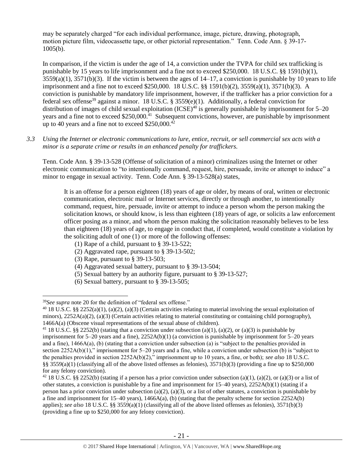may be separately charged "for each individual performance, image, picture, drawing, photograph, motion picture film, videocassette tape, or other pictorial representation." Tenn. Code Ann. § 39-17- 1005(b).

In comparison, if the victim is under the age of 14, a conviction under the TVPA for child sex trafficking is punishable by 15 years to life imprisonment and a fine not to exceed \$250,000. 18 U.S.C. §§ 1591(b)(1),  $3559(a)(1)$ ,  $3571(b)(3)$ . If the victim is between the ages of  $14-17$ , a conviction is punishable by 10 years to life imprisonment and a fine not to exceed \$250,000. 18 U.S.C. §§ 1591(b)(2), 3559(a)(1), 3571(b)(3). A conviction is punishable by mandatory life imprisonment, however, if the trafficker has a prior conviction for a federal sex offense<sup>39</sup> against a minor. 18 U.S.C. § 3559 $(e)(1)$ . Additionally, a federal conviction for distribution of images of child sexual exploitation  $(ICSE)^{40}$  is generally punishable by imprisonment for 5–20 years and a fine not to exceed \$250,000.<sup>41</sup> Subsequent convictions, however, are punishable by imprisonment up to 40 years and a fine not to exceed \$250,000.<sup>42</sup>

*3.3 Using the Internet or electronic communications to lure, entice, recruit, or sell commercial sex acts with a minor is a separate crime or results in an enhanced penalty for traffickers.*

Tenn. Code Ann. § 39-13-528 (Offense of solicitation of a minor) criminalizes using the Internet or other electronic communication to "to intentionally command, request, hire, persuade, invite or attempt to induce" a minor to engage in sexual activity. Tenn. Code Ann. § 39-13-528(a) states,

It is an offense for a person eighteen (18) years of age or older, by means of oral, written or electronic communication, electronic mail or Internet services, directly or through another, to intentionally command, request, hire, persuade, invite or attempt to induce a person whom the person making the solicitation knows, or should know, is less than eighteen (18) years of age, or solicits a law enforcement officer posing as a minor, and whom the person making the solicitation reasonably believes to be less than eighteen (18) years of age, to engage in conduct that, if completed, would constitute a violation by the soliciting adult of one (1) or more of the following offenses:

- (1) Rape of a child, pursuant to [§ 39-13-522;](https://a.next.westlaw.com/Link/Document/FullText?findType=L&pubNum=1000039&cite=TNSTS39-13-522&originatingDoc=N61AFE9D1CCE411DB8F04FB3E68C8F4C5&refType=LQ&originationContext=document&transitionType=DocumentItem&contextData=(sc.UserEnteredCitation))
- (2) Aggravated rape, pursuant to [§ 39-13-502;](https://a.next.westlaw.com/Link/Document/FullText?findType=L&pubNum=1000039&cite=TNSTS39-13-502&originatingDoc=N61AFE9D1CCE411DB8F04FB3E68C8F4C5&refType=LQ&originationContext=document&transitionType=DocumentItem&contextData=(sc.UserEnteredCitation))
- (3) Rape, pursuant to [§ 39-13-503;](https://a.next.westlaw.com/Link/Document/FullText?findType=L&pubNum=1000039&cite=TNSTS39-13-503&originatingDoc=N61AFE9D1CCE411DB8F04FB3E68C8F4C5&refType=LQ&originationContext=document&transitionType=DocumentItem&contextData=(sc.UserEnteredCitation))
- (4) Aggravated sexual battery, pursuant to [§ 39-13-504;](https://a.next.westlaw.com/Link/Document/FullText?findType=L&pubNum=1000039&cite=TNSTS39-13-504&originatingDoc=N61AFE9D1CCE411DB8F04FB3E68C8F4C5&refType=LQ&originationContext=document&transitionType=DocumentItem&contextData=(sc.UserEnteredCitation))
- (5) Sexual battery by an authority figure, pursuant to [§ 39-13-527;](https://a.next.westlaw.com/Link/Document/FullText?findType=L&pubNum=1000039&cite=TNSTS39-13-527&originatingDoc=N61AFE9D1CCE411DB8F04FB3E68C8F4C5&refType=LQ&originationContext=document&transitionType=DocumentItem&contextData=(sc.UserEnteredCitation))
- (6) Sexual battery, pursuant to [§ 39-13-505;](https://a.next.westlaw.com/Link/Document/FullText?findType=L&pubNum=1000039&cite=TNSTS39-13-505&originatingDoc=N61AFE9D1CCE411DB8F04FB3E68C8F4C5&refType=LQ&originationContext=document&transitionType=DocumentItem&contextData=(sc.UserEnteredCitation))

<sup>39</sup>*See supra* note [20](#page-11-0) for the definition of "federal sex offense."

 $40$  18 U.S.C. §§ 2252(a)(1), (a)(2), (a)(3) (Certain activities relating to material involving the sexual exploitation of minors),  $2252A(a)(2)$ ,  $(a)(3)$  (Certain activities relating to material constituting or containing child pornography), 1466A(a) (Obscene visual representations of the sexual abuse of children).

<sup>&</sup>lt;sup>41</sup> 18 U.S.C. §§ 2252(b) (stating that a conviction under subsection (a)(1), (a)(2), or (a)(3) is punishable by imprisonment for  $5-20$  years and a fine),  $2252A(b)(1)$  (a conviction is punishable by imprisonment for  $5-20$  years and a fine), 1466A(a), (b) (stating that a conviction under subsection (a) is "subject to the penalties provided in section 2252A(b)(1)," imprisonment for 5–20 years and a fine, while a conviction under subsection (b) is "subject to the penalties provided in section 2252A(b)(2)," imprisonment up to 10 years, a fine, or both); *see also* 18 U.S.C. §§ 3559(a)(1) (classifying all of the above listed offenses as felonies),  $3571(b)(3)$  (providing a fine up to \$250,000 for any felony conviction).

<sup>&</sup>lt;sup>42</sup> 18 U.S.C. §§ 2252(b) (stating if a person has a prior conviction under subsection (a)(1), (a)(2), or (a)(3) or a list of other statutes, a conviction is punishable by a fine and imprisonment for 15–40 years), 2252A(b)(1) (stating if a person has a prior conviction under subsection (a)(2), (a)(3), or a list of other statutes, a conviction is punishable by a fine and imprisonment for 15–40 years), 1466A(a), (b) (stating that the penalty scheme for section 2252A(b) applies); *see also* 18 U.S.C. §§ 3559(a)(1) (classifying all of the above listed offenses as felonies), 3571(b)(3) (providing a fine up to \$250,000 for any felony conviction).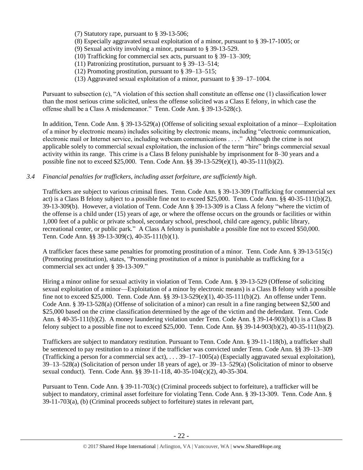- (7) Statutory rape, pursuant to [§ 39-13-506;](https://a.next.westlaw.com/Link/Document/FullText?findType=L&pubNum=1000039&cite=TNSTS39-13-506&originatingDoc=N61AFE9D1CCE411DB8F04FB3E68C8F4C5&refType=LQ&originationContext=document&transitionType=DocumentItem&contextData=(sc.UserEnteredCitation))
- (8) Especially aggravated sexual exploitation of a minor, pursuant to [§ 39-17-1005;](https://a.next.westlaw.com/Link/Document/FullText?findType=L&pubNum=1000039&cite=TNSTS39-17-1005&originatingDoc=N61AFE9D1CCE411DB8F04FB3E68C8F4C5&refType=LQ&originationContext=document&transitionType=DocumentItem&contextData=(sc.UserEnteredCitation)) or
- (9) Sexual activity involving a minor, pursuant to [§ 39-13-529.](https://a.next.westlaw.com/Link/Document/FullText?findType=L&pubNum=1000039&cite=TNSTS39-13-529&originatingDoc=N61AFE9D1CCE411DB8F04FB3E68C8F4C5&refType=LQ&originationContext=document&transitionType=DocumentItem&contextData=(sc.UserEnteredCitation))
- (10) Trafficking for commercial sex acts, pursuant to § 39–13–309;
- (11) Patronizing prostitution, pursuant to § 39–13–514;
- (12) Promoting prostitution, pursuant to § 39–13–515;
- (13) Aggravated sexual exploitation of a minor, pursuant to § 39–17–1004.

Pursuant to subsection (c), "A violation of this section shall constitute an offense one (1) classification lower than the most serious crime solicited, unless the offense solicited was a Class E felony, in which case the offense shall be a Class A misdemeanor." Tenn. Code Ann. § 39-13-528(c).

In addition, Tenn. Code Ann. § 39-13-529(a) (Offense of soliciting sexual exploitation of a minor—Exploitation of a minor by electronic means) includes soliciting by electronic means, including "electronic communication, electronic mail or Internet service, including webcam communications . . . ." Although the crime is not applicable solely to commercial sexual exploitation, the inclusion of the term "hire" brings commercial sexual activity within its range. This crime is a Class B felony punishable by imprisonment for 8–30 years and a possible fine not to exceed \$25,000. Tenn. Code Ann. §§ 39-13-529(e)(1), 40-35-111(b)(2).

*3.4 Financial penalties for traffickers, including asset forfeiture, are sufficiently high*.

Traffickers are subject to various criminal fines. Tenn. Code Ann. § 39-13-309 (Trafficking for commercial sex act) is a Class B felony subject to a possible fine not to exceed \$25,000. Tenn. Code Ann. §§ 40-35-111(b)(2), 39-13-309(b). However, a violation of Tenn. Code Ann § 39-13-309 is a Class A felony "where the victim of the offense is a child under (15) years of age, or where the offense occurs on the grounds or facilities or within 1,000 feet of a public or private school, secondary school, preschool, child care agency, public library, recreational center, or public park." A Class A felony is punishable a possible fine not to exceed \$50,000. Tenn. Code Ann. §§ 39-13-309(c), 40-35-111(b)(1).

A trafficker faces these same penalties for promoting prostitution of a minor. Tenn. Code Ann. § 39-13-515(c) (Promoting prostitution), states, "Promoting prostitution of a minor is punishable as trafficking for a commercial sex act under § 39-13-309."

Hiring a minor online for sexual activity in violation of Tenn. Code Ann. § 39-13-529 (Offense of soliciting sexual exploitation of a minor—Exploitation of a minor by electronic means) is a Class B felony with a possible fine not to exceed \$25,000. Tenn. Code Ann. §§ 39-13-529(e)(1), 40-35-111(b)(2). An offense under Tenn. Code Ann. § 39-13-528(a) (Offense of solicitation of a minor) can result in a fine ranging between \$2,500 and \$25,000 based on the crime classification determined by the age of the victim and the defendant. Tenn. Code Ann. § 40-35-111(b)(2). A money laundering violation under Tenn. Code Ann. § 39-14-903(b)(1) is a Class B felony subject to a possible fine not to exceed \$25,000. Tenn. Code Ann. §§ 39-14-903(b)(2), 40-35-111(b)(2).

Traffickers are subject to mandatory restitution. Pursuant to Tenn. Code Ann. § 39-11-118(b), a trafficker shall be sentenced to pay restitution to a minor if the trafficker was convicted under Tenn. Code Ann. §§ 39–13–309 (Trafficking a person for a commercial sex act), . . . 39–17–1005(a) (Especially aggravated sexual exploitation), 39–13–528(a) (Solicitation of person under 18 years of age), or 39–13–529(a) (Solicitation of minor to observe sexual conduct). Tenn. Code Ann. §§ 39-11-118, 40-35-104(c)(2), 40-35-304.

Pursuant to Tenn. Code Ann. § 39-11-703(c) (Criminal proceeds subject to forfeiture), a trafficker will be subject to mandatory, criminal asset forfeiture for violating Tenn. Code Ann. § 39-13-309. Tenn. Code Ann. § 39-11-703(a), (b) (Criminal proceeds subject to forfeiture) states in relevant part,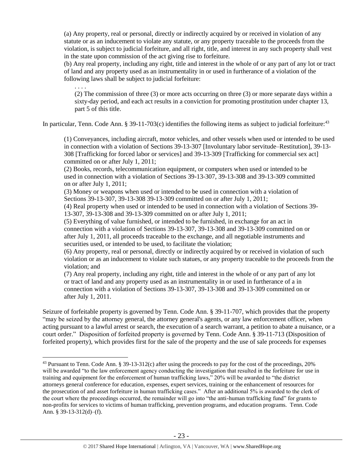(a) Any property, real or personal, directly or indirectly acquired by or received in violation of any statute or as an inducement to violate any statute, or any property traceable to the proceeds from the violation, is subject to judicial forfeiture, and all right, title, and interest in any such property shall vest in the state upon commission of the act giving rise to forfeiture.

(b) Any real property, including any right, title and interest in the whole of or any part of any lot or tract of land and any property used as an instrumentality in or used in furtherance of a violation of the following laws shall be subject to judicial forfeiture:

(2) The commission of three (3) or more acts occurring on three (3) or more separate days within a sixty-day period, and each act results in a conviction for promoting prostitution under chapter 13, part 5 of this title.

In particular, Tenn. Code Ann. § 39-11-703 $(c)$  identifies the following items as subject to judicial forfeiture:<sup>43</sup>

. . . .

 $\overline{a}$ 

(1) Conveyances, including aircraft, motor vehicles, and other vessels when used or intended to be used in connection with a violation of Sections 39-13-307 [Involuntary labor servitude–Restitution], 39-13- 308 [Trafficking for forced labor or services] and 39-13-309 [Trafficking for commercial sex act] committed on or after July 1, 2011;

(2) Books, records, telecommunication equipment, or computers when used or intended to be used in connection with a violation of Sections 39-13-307, 39-13-308 and 39-13-309 committed on or after July 1, 2011;

(3) Money or weapons when used or intended to be used in connection with a violation of Sections 39-13-307, 39-13-308 39-13-309 committed on or after July 1, 2011;

(4) Real property when used or intended to be used in connection with a violation of Sections 39- 13-307, 39-13-308 and 39-13-309 committed on or after July 1, 2011;

(5) Everything of value furnished, or intended to be furnished, in exchange for an act in connection with a violation of Sections 39-13-307, 39-13-308 and 39-13-309 committed on or after July 1, 2011, all proceeds traceable to the exchange, and all negotiable instruments and securities used, or intended to be used, to facilitate the violation;

(6) Any property, real or personal, directly or indirectly acquired by or received in violation of such violation or as an inducement to violate such statues, or any property traceable to the proceeds from the violation; and

(7) Any real property, including any right, title and interest in the whole of or any part of any lot or tract of land and any property used as an instrumentality in or used in furtherance of a in connection with a violation of Sections 39-13-307, 39-13-308 and 39-13-309 committed on or after July 1, 2011.

Seizure of forfeitable property is governed by Tenn. Code Ann. § 39-11-707, which provides that the property "may be seized by the attorney general, the attorney general's agents, or any law enforcement officer, when acting pursuant to a lawful arrest or search, the execution of a search warrant, a petition to abate a nuisance, or a court order." Disposition of forfeited property is governed by Tenn. Code Ann. § 39-11-713 (Disposition of forfeited property), which provides first for the sale of the property and the use of sale proceeds for expenses

<sup>&</sup>lt;sup>43</sup> Pursuant to Tenn. Code Ann. § 39-13-312(c) after using the proceeds to pay for the cost of the proceedings, 20% will be awarded "to the law enforcement agency conducting the investigation that resulted in the forfeiture for use in training and equipment for the enforcement of human trafficking laws," 20% will be awarded to "the district attorneys general conference for education, expenses, expert services, training or the enhancement of resources for the prosecution of and asset forfeiture in human trafficking cases." After an additional 5% is awarded to the clerk of the court where the proceedings occurred, the remainder will go into "the anti-human trafficking fund" for grants to non-profits for services to victims of human trafficking, prevention programs, and education programs. Tenn. Code Ann. § 39-13-312(d)–(f).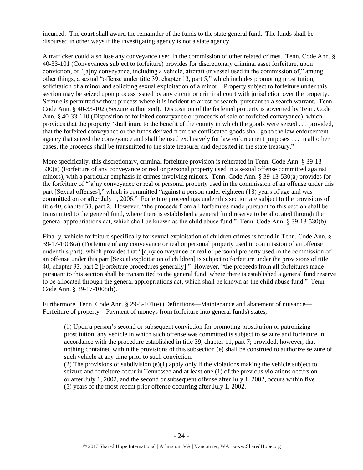incurred. The court shall award the remainder of the funds to the state general fund. The funds shall be disbursed in other ways if the investigating agency is not a state agency.

A trafficker could also lose any conveyance used in the commission of other related crimes. Tenn. Code Ann. § 40-33-101 (Conveyances subject to forfeiture) provides for discretionary criminal asset forfeiture, upon conviction, of "[a]ny conveyance, including a vehicle, aircraft or vessel used in the commission of," among other things, a sexual "offense under title 39, chapter 13, part 5," which includes promoting prostitution, solicitation of a minor and soliciting sexual exploitation of a minor. Property subject to forfeiture under this section may be seized upon process issued by any circuit or criminal court with jurisdiction over the property. Seizure is permitted without process where it is incident to arrest or search, pursuant to a search warrant. Tenn. Code Ann. § 40-33-102 (Seizure authorized). Disposition of the forfeited property is governed by Tenn. Code Ann. § 40-33-110 (Disposition of forfeited conveyance or proceeds of sale of forfeited conveyance), which provides that the property "shall inure to the benefit of the county in which the goods were seized . . . provided, that the forfeited conveyance or the funds derived from the confiscated goods shall go to the law enforcement agency that seized the conveyance and shall be used exclusively for law enforcement purposes . . . In all other cases, the proceeds shall be transmitted to the state treasurer and deposited in the state treasury."

More specifically, this discretionary, criminal forfeiture provision is reiterated in Tenn. Code Ann. § 39-13- 530(a) (Forfeiture of any conveyance or real or personal property used in a sexual offense committed against minors), with a particular emphasis in crimes involving minors. Tenn. Code Ann. § 39-13-530(a) provides for the forfeiture of "[a]ny conveyance or real or personal property used in the commission of an offense under this part [Sexual offenses]," which is committed "against a person under eighteen (18) years of age and was committed on or after July 1, 2006." Forfeiture proceedings under this section are subject to the provisions of title 40, chapter 33, part 2. However, "the proceeds from all forfeitures made pursuant to this section shall be transmitted to the general fund, where there is established a general fund reserve to be allocated through the general appropriations act, which shall be known as the child abuse fund." Tenn. Code Ann. § 39-13-530(b).

Finally, vehicle forfeiture specifically for sexual exploitation of children crimes is found in Tenn. Code Ann. § 39-17-1008(a) (Forfeiture of any conveyance or real or personal property used in commission of an offense under this part), which provides that "[a]ny conveyance or real or personal property used in the commission of an offense under this part [Sexual exploitation of children] is subject to forfeiture under the provisions of title 40, chapter 33, part 2 [Forfeiture procedures generally]." However, "the proceeds from all forfeitures made pursuant to this section shall be transmitted to the general fund, where there is established a general fund reserve to be allocated through the general appropriations act, which shall be known as the child abuse fund." Tenn. Code Ann. § 39-17-1008(b).

Furthermore, Tenn. Code Ann. § 29-3-101(e) (Definitions—Maintenance and abatement of nuisance— Forfeiture of property—Payment of moneys from forfeiture into general funds) states,

(1) Upon a person's second or subsequent conviction for promoting prostitution or patronizing prostitution, any vehicle in which such offense was committed is subject to seizure and forfeiture in accordance with the procedure established in title 39, chapter 11, part 7; provided, however, that nothing contained within the provisions of this subsection (e) shall be construed to authorize seizure of such vehicle at any time prior to such conviction.

(2) The provisions of subdivision  $(e)(1)$  apply only if the violations making the vehicle subject to seizure and forfeiture occur in Tennessee and at least one (1) of the previous violations occurs on or after July 1, 2002, and the second or subsequent offense after July 1, 2002, occurs within five (5) years of the most recent prior offense occurring after July 1, 2002.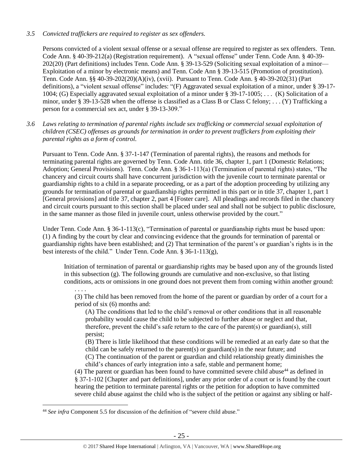## *3.5 Convicted traffickers are required to register as sex offenders.*

Persons convicted of a violent sexual offense or a sexual offense are required to register as sex offenders. Tenn. Code Ann. § 40-39-212(a) (Registration requirement). A "sexual offense" under Tenn. Code Ann. § 40-39- 202(20) (Part definitions) includes Tenn. Code Ann. § 39-13-529 (Soliciting sexual exploitation of a minor— Exploitation of a minor by electronic means) and Tenn. Code Ann § 39-13-515 (Promotion of prostitution). Tenn. Code Ann. §§ 40-39-202(20)(A)(iv), (xvii). Pursuant to Tenn. Code Ann. § 40-39-202(31) (Part definitions), a "violent sexual offense" includes: "(F) Aggravated sexual exploitation of a minor, under § 39-17- 1004; (G) Especially aggravated sexual exploitation of a minor under § 39-17-1005; . . . (K) Solicitation of a minor, under § 39-13-528 when the offense is classified as a Class B or Class C felony; . . . (Y) Trafficking a person for a commercial sex act, under § 39-13-309."

*3.6 Laws relating to termination of parental rights include sex trafficking or commercial sexual exploitation of children (CSEC) offenses as grounds for termination in order to prevent traffickers from exploiting their parental rights as a form of control.* 

Pursuant to Tenn. Code Ann. § 37-1-147 (Termination of parental rights), the reasons and methods for terminating parental rights are governed by Tenn. Code Ann. title 36, chapter 1, part 1 (Domestic Relations; Adoption; General Provisions). Tenn. Code Ann. § 36-1-113(a) (Termination of parental rights) states, "The chancery and circuit courts shall have concurrent jurisdiction with the juvenile court to terminate parental or guardianship rights to a child in a separate proceeding, or as a part of the adoption proceeding by utilizing any grounds for termination of parental or guardianship rights permitted in this part or in title 37, chapter 1, part 1 [General provisions] and title 37, chapter 2, part 4 [Foster care]. All pleadings and records filed in the chancery and circuit courts pursuant to this section shall be placed under seal and shall not be subject to public disclosure, in the same manner as those filed in juvenile court, unless otherwise provided by the court."

Under Tenn. Code Ann. § 36-1-113(c), "Termination of parental or guardianship rights must be based upon: (1) A finding by the court by clear and convincing evidence that the grounds for termination of parental or guardianship rights have been established; and (2) That termination of the parent's or guardian's rights is in the best interests of the child." Under Tenn. Code Ann. § 36-1-113(g),

Initiation of termination of parental or guardianship rights may be based upon any of the grounds listed in this subsection (g). The following grounds are cumulative and non-exclusive, so that listing conditions, acts or omissions in one ground does not prevent them from coming within another ground:

. . . . (3) The child has been removed from the home of the parent or guardian by order of a court for a period of six (6) months and:

(A) The conditions that led to the child's removal or other conditions that in all reasonable probability would cause the child to be subjected to further abuse or neglect and that, therefore, prevent the child's safe return to the care of the parent(s) or guardian(s), still persist;

(B) There is little likelihood that these conditions will be remedied at an early date so that the child can be safely returned to the parent(s) or guardian(s) in the near future; and

(C) The continuation of the parent or guardian and child relationship greatly diminishes the child's chances of early integration into a safe, stable and permanent home;

(4) The parent or guardian has been found to have committed severe child abuse<sup>44</sup> as defined in § 37-1-102 [Chapter and part definitions], under any prior order of a court or is found by the court hearing the petition to terminate parental rights or the petition for adoption to have committed severe child abuse against the child who is the subject of the petition or against any sibling or half-

<sup>&</sup>lt;sup>44</sup> See infra Component 5.5 for discussion of the definition of "severe child abuse."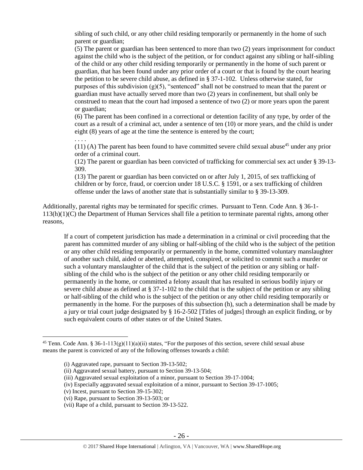sibling of such child, or any other child residing temporarily or permanently in the home of such parent or guardian;

(5) The parent or guardian has been sentenced to more than two (2) years imprisonment for conduct against the child who is the subject of the petition, or for conduct against any sibling or half-sibling of the child or any other child residing temporarily or permanently in the home of such parent or guardian, that has been found under any prior order of a court or that is found by the court hearing the petition to be severe child abuse, as defined in  $\S 37$ -1-102. Unless otherwise stated, for purposes of this subdivision  $(g)(5)$ , "sentenced" shall not be construed to mean that the parent or guardian must have actually served more than two (2) years in confinement, but shall only be construed to mean that the court had imposed a sentence of two (2) or more years upon the parent or guardian;

(6) The parent has been confined in a correctional or detention facility of any type, by order of the court as a result of a criminal act, under a sentence of ten (10) or more years, and the child is under eight (8) years of age at the time the sentence is entered by the court;

. . . .

 $\overline{a}$ 

 $(11)$  (A) The parent has been found to have committed severe child sexual abuse<sup>45</sup> under any prior order of a criminal court.

(12) The parent or guardian has been convicted of trafficking for commercial sex act under § 39-13- 309.

(13) The parent or guardian has been convicted on or after July 1, 2015, of sex trafficking of children or by force, fraud, or coercion under 18 U.S.C. § 1591, or a sex trafficking of children offense under the laws of another state that is substantially similar to § 39-13-309.

Additionally, parental rights may be terminated for specific crimes. Pursuant to Tenn. Code Ann. § 36-1- 113(h)(1)(C) the Department of Human Services shall file a petition to terminate parental rights, among other reasons,

If a court of competent jurisdiction has made a determination in a criminal or civil proceeding that the parent has committed murder of any sibling or half-sibling of the child who is the subject of the petition or any other child residing temporarily or permanently in the home, committed voluntary manslaughter of another such child, aided or abetted, attempted, conspired, or solicited to commit such a murder or such a voluntary manslaughter of the child that is the subject of the petition or any sibling or halfsibling of the child who is the subject of the petition or any other child residing temporarily or permanently in the home, or committed a felony assault that has resulted in serious bodily injury or severe child abuse as defined at § 37-1-102 to the child that is the subject of the petition or any sibling or half-sibling of the child who is the subject of the petition or any other child residing temporarily or permanently in the home. For the purposes of this subsection (h), such a determination shall be made by a jury or trial court judge designated by § 16-2-502 [Titles of judges] through an explicit finding, or by such equivalent courts of other states or of the United States.

<sup>&</sup>lt;sup>45</sup> Tenn. Code Ann. § 36-1-113(g)(11)(a)(ii) states, "For the purposes of this section, severe child sexual abuse means the parent is convicted of any of the following offenses towards a child:

<sup>(</sup>i) Aggravated rape, pursuant to Section 39-13-502;

<sup>(</sup>ii) Aggravated sexual battery, pursuant to Section 39-13-504;

<sup>(</sup>iii) Aggravated sexual exploitation of a minor, pursuant to Section 39-17-1004;

<sup>(</sup>iv) Especially aggravated sexual exploitation of a minor, pursuant to Section 39-17-1005;

<sup>(</sup>v) Incest, pursuant to Section 39-15-302;

<sup>(</sup>vi) Rape, pursuant to Section 39-13-503; or

<sup>(</sup>vii) Rape of a child, pursuant to Section 39-13-522.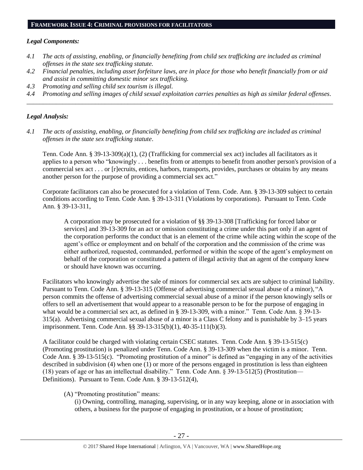## **FRAMEWORK ISSUE 4: CRIMINAL PROVISIONS FOR FACILITATORS**

## *Legal Components:*

- *4.1 The acts of assisting, enabling, or financially benefiting from child sex trafficking are included as criminal offenses in the state sex trafficking statute.*
- *4.2 Financial penalties, including asset forfeiture laws, are in place for those who benefit financially from or aid and assist in committing domestic minor sex trafficking.*
- *4.3 Promoting and selling child sex tourism is illegal.*
- *4.4 Promoting and selling images of child sexual exploitation carries penalties as high as similar federal offenses. \_\_\_\_\_\_\_\_\_\_\_\_\_\_\_\_\_\_\_\_\_\_\_\_\_\_\_\_\_\_\_\_\_\_\_\_\_\_\_\_\_\_\_\_\_\_\_\_\_\_\_\_\_\_\_\_\_\_\_\_\_\_\_\_\_\_\_\_\_\_\_\_\_\_\_\_\_\_\_\_\_\_\_\_\_\_\_\_\_\_\_\_\_\_*

## *Legal Analysis:*

*4.1 The acts of assisting, enabling, or financially benefiting from child sex trafficking are included as criminal offenses in the state sex trafficking statute*.

Tenn. Code Ann. § 39-13-309(a)(1), (2) (Trafficking for commercial sex act) includes all facilitators as it applies to a person who "knowingly . . . benefits from or attempts to benefit from another person's provision of a commercial sex act . . . or [r]ecruits, entices, harbors, transports, provides, purchases or obtains by any means another person for the purpose of providing a commercial sex act."

Corporate facilitators can also be prosecuted for a violation of Tenn. Code. Ann. § 39-13-309 subject to certain conditions according to Tenn. Code Ann. § 39-13-311 (Violations by corporations). Pursuant to Tenn. Code Ann. § 39-13-311,

A corporation may be prosecuted for a violation of §§ 39-13-308 [Trafficking for forced labor or services] and 39-13-309 for an act or omission constituting a crime under this part only if an agent of the corporation performs the conduct that is an element of the crime while acting within the scope of the agent's office or employment and on behalf of the corporation and the commission of the crime was either authorized, requested, commanded, performed or within the scope of the agent's employment on behalf of the corporation or constituted a pattern of illegal activity that an agent of the company knew or should have known was occurring.

Facilitators who knowingly advertise the sale of minors for commercial sex acts are subject to criminal liability. Pursuant to Tenn. Code Ann. § 39-13-315 (Offense of advertising commercial sexual abuse of a minor), "A person commits the offense of advertising commercial sexual abuse of a minor if the person knowingly sells or offers to sell an advertisement that would appear to a reasonable person to be for the purpose of engaging in what would be a commercial sex act, as defined in § 39-13-309, with a minor." Tenn. Code Ann. § 39-13- 315(a). Advertising commercial sexual abuse of a minor is a Class C felony and is punishable by 3–15 years imprisonment. Tenn. Code Ann. §§ 39-13-315(b)(1), 40-35-111(b)(3).

A facilitator could be charged with violating certain CSEC statutes. Tenn. Code Ann. § 39-13-515(c) (Promoting prostitution) is penalized under Tenn. Code Ann. § 39-13-309 when the victim is a minor. Tenn. Code Ann.  $\S$  39-13-515(c). "Promoting prostitution of a minor" is defined as "engaging in any of the activities described in subdivision (4) when one (1) or more of the persons engaged in prostitution is less than eighteen (18) years of age or has an intellectual disability." Tenn. Code Ann. § 39-13-512(5) (Prostitution— Definitions). Pursuant to Tenn. Code Ann. § 39-13-512(4),

(A) "Promoting prostitution" means:

(i) Owning, controlling, managing, supervising, or in any way keeping, alone or in association with others, a business for the purpose of engaging in prostitution, or a house of prostitution;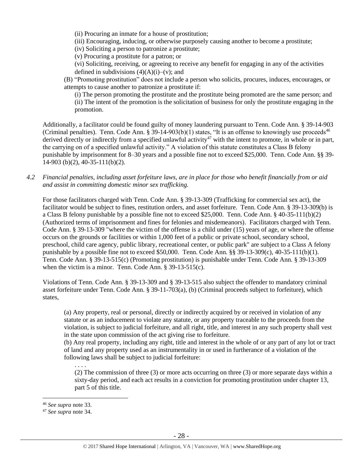(ii) Procuring an inmate for a house of prostitution;

(iii) Encouraging, inducing, or otherwise purposely causing another to become a prostitute;

(iv) Soliciting a person to patronize a prostitute;

(v) Procuring a prostitute for a patron; or

(vi) Soliciting, receiving, or agreeing to receive any benefit for engaging in any of the activities defined in subdivisions  $(4)(A)(i)$ –(v); and

(B) "Promoting prostitution" does not include a person who solicits, procures, induces, encourages, or attempts to cause another to patronize a prostitute if:

(i) The person promoting the prostitute and the prostitute being promoted are the same person; and (ii) The intent of the promotion is the solicitation of business for only the prostitute engaging in the promotion.

Additionally, a facilitator could be found guilty of money laundering pursuant to Tenn. Code Ann. § 39-14-903 (Criminal penalties). Tenn. Code Ann. § 39-14-903(b)(1) states, "It is an offense to knowingly use proceeds<sup>46</sup> derived directly or indirectly from a specified unlawful activity<sup>47</sup> with the intent to promote, in whole or in part, the carrying on of a specified unlawful activity." A violation of this statute constitutes a Class B felony punishable by imprisonment for 8–30 years and a possible fine not to exceed \$25,000. Tenn. Code Ann. §§ 39- 14-903 (b)(2), 40-35-111(b)(2).

*4.2 Financial penalties, including asset forfeiture laws, are in place for those who benefit financially from or aid and assist in committing domestic minor sex trafficking.*

For those facilitators charged with Tenn. Code Ann. § 39-13-309 (Trafficking for commercial sex act), the facilitator would be subject to fines, restitution orders, and asset forfeiture. Tenn. Code Ann. § 39-13-309(b) is a Class B felony punishable by a possible fine not to exceed \$25,000. Tenn. Code Ann. § 40-35-111(b)(2) (Authorized terms of imprisonment and fines for felonies and misdemeanors). Facilitators charged with Tenn. Code Ann. § 39-13-309 "where the victim of the offense is a child under (15) years of age, or where the offense occurs on the grounds or facilities or within 1,000 feet of a public or private school, secondary school, preschool, child care agency, public library, recreational center, or public park" are subject to a Class A felony punishable by a possible fine not to exceed \$50,000. Tenn. Code Ann. §§ 39-13-309(c), 40-35-111(b)(1). Tenn. Code Ann. § 39-13-515(c) (Promoting prostitution) is punishable under Tenn. Code Ann. § 39-13-309 when the victim is a minor. Tenn. Code Ann. § 39-13-515(c).

Violations of Tenn. Code Ann. § 39-13-309 and § 39-13-515 also subject the offender to mandatory criminal asset forfeiture under Tenn. Code Ann. § 39-11-703(a), (b) (Criminal proceeds subject to forfeiture), which states,

(a) Any property, real or personal, directly or indirectly acquired by or received in violation of any statute or as an inducement to violate any statute, or any property traceable to the proceeds from the violation, is subject to judicial forfeiture, and all right, title, and interest in any such property shall vest in the state upon commission of the act giving rise to forfeiture.

(b) Any real property, including any right, title and interest in the whole of or any part of any lot or tract of land and any property used as an instrumentality in or used in furtherance of a violation of the following laws shall be subject to judicial forfeiture:

(2) The commission of three (3) or more acts occurring on three (3) or more separate days within a sixty-day period, and each act results in a conviction for promoting prostitution under chapter 13, part 5 of this title.

 $\overline{a}$ 

. . . .

<sup>46</sup> *See supra* note [33.](#page-18-0)

<sup>47</sup> *See supra* note [34.](#page-18-1)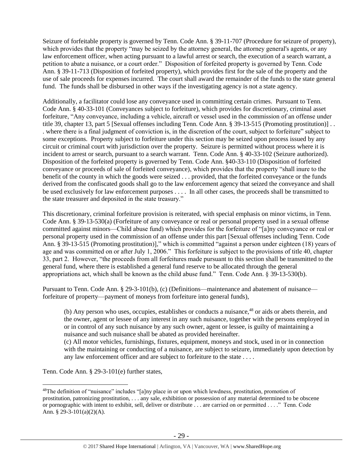Seizure of forfeitable property is governed by Tenn. Code Ann. § 39-11-707 (Procedure for seizure of property), which provides that the property "may be seized by the attorney general, the attorney general's agents, or any law enforcement officer, when acting pursuant to a lawful arrest or search, the execution of a search warrant, a petition to abate a nuisance, or a court order." Disposition of forfeited property is governed by Tenn. Code Ann. § 39-11-713 (Disposition of forfeited property), which provides first for the sale of the property and the use of sale proceeds for expenses incurred. The court shall award the remainder of the funds to the state general fund. The funds shall be disbursed in other ways if the investigating agency is not a state agency.

Additionally, a facilitator could lose any conveyance used in committing certain crimes. Pursuant to Tenn. Code Ann. § 40-33-101 (Conveyances subject to forfeiture), which provides for discretionary, criminal asset forfeiture, "Any conveyance, including a vehicle, aircraft or vessel used in the commission of an offense under title 39, chapter 13, part 5 [Sexual offenses including Tenn. Code Ann. § 39-13-515 (Promoting prostitution)] . . . where there is a final judgment of conviction is, in the discretion of the court, subject to forfeiture" subject to some exceptions. Property subject to forfeiture under this section may be seized upon process issued by any circuit or criminal court with jurisdiction over the property. Seizure is permitted without process where it is incident to arrest or search, pursuant to a search warrant. Tenn. Code Ann. § 40-33-102 (Seizure authorized). Disposition of the forfeited property is governed by Tenn. Code Ann. §40-33-110 (Disposition of forfeited conveyance or proceeds of sale of forfeited conveyance), which provides that the property "shall inure to the benefit of the county in which the goods were seized . . . provided, that the forfeited conveyance or the funds derived from the confiscated goods shall go to the law enforcement agency that seized the conveyance and shall be used exclusively for law enforcement purposes . . . . In all other cases, the proceeds shall be transmitted to the state treasurer and deposited in the state treasury."

This discretionary, criminal forfeiture provision is reiterated, with special emphasis on minor victims, in Tenn. Code Ann. § 39-13-530(a) (Forfeiture of any conveyance or real or personal property used in a sexual offense committed against minors—Child abuse fund) which provides for the forfeiture of "[a]ny conveyance or real or personal property used in the commission of an offense under this part [Sexual offenses including Tenn. Code Ann. § 39-13-515 (Promoting prostitution)]," which is committed "against a person under eighteen (18) years of age and was committed on or after July 1, 2006." This forfeiture is subject to the provisions of title 40, chapter 33, part 2. However, "the proceeds from all forfeitures made pursuant to this section shall be transmitted to the general fund, where there is established a general fund reserve to be allocated through the general appropriations act, which shall be known as the child abuse fund." Tenn. Code Ann. § 39-13-530(b).

Pursuant to Tenn. Code Ann. § 29-3-101(b), (c) (Definitions—maintenance and abatement of nuisance forfeiture of property—payment of moneys from forfeiture into general funds),

(b) Any person who uses, occupies, establishes or conducts a nuisance,<sup>48</sup> or aids or abets therein, and the owner, agent or lessee of any interest in any such nuisance, together with the persons employed in or in control of any such nuisance by any such owner, agent or lessee, is guilty of maintaining a nuisance and such nuisance shall be abated as provided hereinafter.

(c) All motor vehicles, furnishings, fixtures, equipment, moneys and stock, used in or in connection with the maintaining or conducting of a nuisance, are subject to seizure, immediately upon detection by any law enforcement officer and are subject to forfeiture to the state . . . .

Tenn. Code Ann. § 29-3-101(e) further states,

<sup>&</sup>lt;sup>48</sup>The definition of "nuisance" includes "[a]ny place in or upon which lewdness, prostitution, promotion of prostitution, patronizing prostitution, . . . any sale, exhibition or possession of any material determined to be obscene or pornographic with intent to exhibit, sell, deliver or distribute . . . are carried on or permitted . . . ." Tenn. Code Ann. § 29-3-101(a)(2)(A).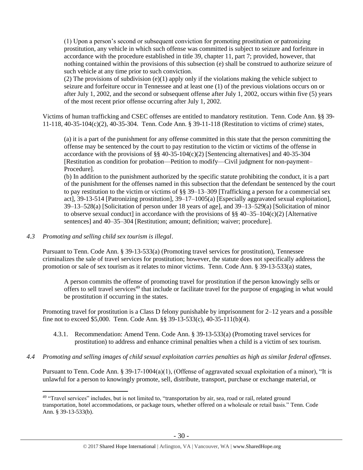(1) Upon a person's second or subsequent conviction for promoting prostitution or patronizing prostitution, any vehicle in which such offense was committed is subject to seizure and forfeiture in accordance with the procedure established in title 39, chapter 11, part 7; provided, however, that nothing contained within the provisions of this subsection (e) shall be construed to authorize seizure of such vehicle at any time prior to such conviction.

(2) The provisions of subdivision  $(e)(1)$  apply only if the violations making the vehicle subject to seizure and forfeiture occur in Tennessee and at least one (1) of the previous violations occurs on or after July 1, 2002, and the second or subsequent offense after July 1, 2002, occurs within five (5) years of the most recent prior offense occurring after July 1, 2002.

Victims of human trafficking and CSEC offenses are entitled to mandatory restitution. Tenn. Code Ann. §§ 39- 11-118, 40-35-104(c)(2), 40-35-304. Tenn. Code Ann. § 39-11-118 (Restitution to victims of crime) states,

(a) it is a part of the punishment for any offense committed in this state that the person committing the offense may be sentenced by the court to pay restitution to the victim or victims of the offense in accordance with the provisions of  $\S$ § 40-35-104(c)(2) [Sentencing alternatives] and 40-35-304 [Restitution as condition for probation—Petition to modify—Civil judgment for non-payment– Procedure].

(b) In addition to the punishment authorized by the specific statute prohibiting the conduct, it is a part of the punishment for the offenses named in this subsection that the defendant be sentenced by the court to pay restitution to the victim or victims of §§ 39–13–309 [Trafficking a person for a commercial sex act], 39-13-514 [Patronizing prostitution], 39–17–1005(a) [Especially aggravated sexual exploitation], 39–13–528(a) [Solicitation of person under 18 years of age], and 39–13–529(a) [Solicitation of minor to observe sexual conduct] in accordance with the provisions of  $\S$ § 40–35–104(c)(2) [Alternative sentences] and 40–35–304 [Restitution; amount; definition; waiver; procedure].

#### *4.3 Promoting and selling child sex tourism is illegal*.

 $\overline{a}$ 

Pursuant to Tenn. Code Ann. § 39-13-533(a) (Promoting travel services for prostitution), Tennessee criminalizes the sale of travel services for prostitution; however, the statute does not specifically address the promotion or sale of sex tourism as it relates to minor victims. Tenn. Code Ann. § 39-13-533(a) states,

A person commits the offense of promoting travel for prostitution if the person knowingly sells or offers to sell travel services<sup>49</sup> that include or facilitate travel for the purpose of engaging in what would be prostitution if occurring in the states.

Promoting travel for prostitution is a Class D felony punishable by imprisonment for 2–12 years and a possible fine not to exceed \$5,000. Tenn. Code Ann. §§ 39-13-533(c), 40-35-111(b)(4).

- 4.3.1. Recommendation: Amend Tenn. Code Ann. § 39-13-533(a) (Promoting travel services for prostitution) to address and enhance criminal penalties when a child is a victim of sex tourism.
- *4.4 Promoting and selling images of child sexual exploitation carries penalties as high as similar federal offenses*.

Pursuant to Tenn. Code Ann. § 39-17-1004(a)(1), (Offense of aggravated sexual exploitation of a minor), "It is unlawful for a person to knowingly promote, sell, distribute, transport, purchase or exchange material, or

<sup>&</sup>lt;sup>49</sup> "Travel services" includes, but is not limited to, "transportation by air, sea, road or rail, related ground transportation, hotel accommodations, or package tours, whether offered on a wholesale or retail basis." Tenn. Code Ann. § 39-13-533(b).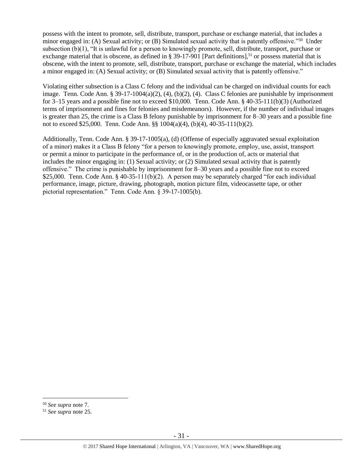possess with the intent to promote, sell, distribute, transport, purchase or exchange material, that includes a minor engaged in: (A) Sexual activity; or (B) Simulated sexual activity that is patently offensive."<sup>50</sup> Under subsection (b)(1), "It is unlawful for a person to knowingly promote, sell, distribute, transport, purchase or exchange material that is obscene, as defined in § 39-17-901 [Part definitions],<sup>51</sup> or possess material that is obscene, with the intent to promote, sell, distribute, transport, purchase or exchange the material, which includes a minor engaged in: (A) Sexual activity; or (B) Simulated sexual activity that is patently offensive."

Violating either subsection is a Class C felony and the individual can be charged on individual counts for each image. Tenn. Code Ann. § 39-17-1004(a)(2), (4), (b)(2), (4). Class C felonies are punishable by imprisonment for 3–15 years and a possible fine not to exceed \$10,000. Tenn. Code Ann. § 40-35-111(b)(3) (Authorized terms of imprisonment and fines for felonies and misdemeanors). However, if the number of individual images is greater than 25, the crime is a Class B felony punishable by imprisonment for 8–30 years and a possible fine not to exceed \$25,000. Tenn. Code Ann. §§ 1004(a)(4), (b)(4), 40-35-111(b)(2).

Additionally, Tenn. Code Ann. § 39-17-1005(a), (d) (Offense of especially aggravated sexual exploitation of a minor) makes it a Class B felony "for a person to knowingly promote, employ, use, assist, transport or permit a minor to participate in the performance of, or in the production of, acts or material that includes the minor engaging in: (1) Sexual activity; or (2) Simulated sexual activity that is patently offensive." The crime is punishable by imprisonment for 8–30 years and a possible fine not to exceed \$25,000. Tenn. Code Ann. § 40-35-111(b)(2). A person may be separately charged "for each individual performance, image, picture, drawing, photograph, motion picture film, videocassette tape, or other pictorial representation." Tenn. Code Ann. § 39-17-1005(b).

<sup>50</sup> *See supra* note [7.](#page-3-0)

<sup>51</sup> *See supra* note [25.](#page-14-0)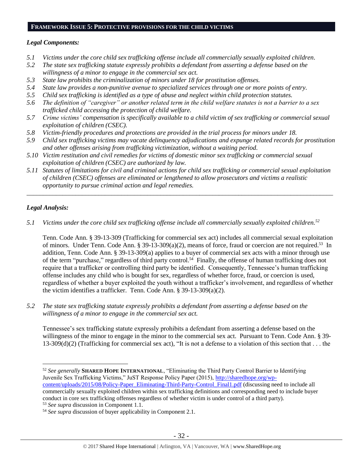## **FRAMEWORK ISSUE 5: PROTECTIVE PROVISIONS FOR THE CHILD VICTIMS**

#### *Legal Components:*

- *5.1 Victims under the core child sex trafficking offense include all commercially sexually exploited children.*
- *5.2 The state sex trafficking statute expressly prohibits a defendant from asserting a defense based on the willingness of a minor to engage in the commercial sex act.*
- *5.3 State law prohibits the criminalization of minors under 18 for prostitution offenses.*
- *5.4 State law provides a non-punitive avenue to specialized services through one or more points of entry.*
- *5.5 Child sex trafficking is identified as a type of abuse and neglect within child protection statutes.*
- *5.6 The definition of "caregiver" or another related term in the child welfare statutes is not a barrier to a sex trafficked child accessing the protection of child welfare.*
- *5.7 Crime victims' compensation is specifically available to a child victim of sex trafficking or commercial sexual exploitation of children (CSEC).*
- *5.8 Victim-friendly procedures and protections are provided in the trial process for minors under 18.*
- *5.9 Child sex trafficking victims may vacate delinquency adjudications and expunge related records for prostitution and other offenses arising from trafficking victimization, without a waiting period.*
- *5.10 Victim restitution and civil remedies for victims of domestic minor sex trafficking or commercial sexual exploitation of children (CSEC) are authorized by law.*
- *5.11 Statutes of limitations for civil and criminal actions for child sex trafficking or commercial sexual exploitation of children (CSEC) offenses are eliminated or lengthened to allow prosecutors and victims a realistic opportunity to pursue criminal action and legal remedies.*

*\_\_\_\_\_\_\_\_\_\_\_\_\_\_\_\_\_\_\_\_\_\_\_\_\_\_\_\_\_\_\_\_\_\_\_\_\_\_\_\_\_\_\_\_\_\_\_\_\_\_\_\_\_\_\_\_\_\_\_\_\_\_\_\_\_\_\_\_\_\_\_\_\_\_\_\_\_\_\_\_\_\_\_\_\_\_\_\_\_\_\_\_\_\_*

## *Legal Analysis:*

 $\overline{a}$ 

*5.1 Victims under the core child sex trafficking offense include all commercially sexually exploited children.<sup>52</sup>*

Tenn. Code Ann. § 39-13-309 (Trafficking for commercial sex act) includes all commercial sexual exploitation of minors. Under Tenn. Code Ann. § 39-13-309(a)(2), means of force, fraud or coercion are not required.<sup>53</sup> In addition, Tenn. Code Ann. § 39-13-309(a) applies to a buyer of commercial sex acts with a minor through use of the term "purchase," regardless of third party control.<sup>54</sup> Finally, the offense of human trafficking does not require that a trafficker or controlling third party be identified. Consequently, Tennessee's human trafficking offense includes any child who is bought for sex, regardless of whether force, fraud, or coercion is used, regardless of whether a buyer exploited the youth without a trafficker's involvement, and regardless of whether the victim identifies a trafficker. Tenn. Code Ann. § 39-13-309(a)(2).

*5.2 The state sex trafficking statute expressly prohibits a defendant from asserting a defense based on the willingness of a minor to engage in the commercial sex act.*

Tennessee's sex trafficking statute expressly prohibits a defendant from asserting a defense based on the willingness of the minor to engage in the minor to the commercial sex act. Pursuant to Tenn. Code Ann. § 39-  $13-309(d)(2)$  (Trafficking for commercial sex act), "It is not a defense to a violation of this section that . . . the

<sup>52</sup> *See generally* **SHARED HOPE INTERNATIONAL**, "Eliminating the Third Party Control Barrier to Identifying Juvenile Sex Trafficking Victims," JuST Response Policy Paper (2015), [http://sharedhope.org/wp](http://sharedhope.org/wp-content/uploads/2015/08/Policy-Paper_Eliminating-Third-Party-Control_Final1.pdf)[content/uploads/2015/08/Policy-Paper\\_Eliminating-Third-Party-Control\\_Final1.pdf](http://sharedhope.org/wp-content/uploads/2015/08/Policy-Paper_Eliminating-Third-Party-Control_Final1.pdf) (discussing need to include all commercially sexually exploited children within sex trafficking definitions and corresponding need to include buyer conduct in core sex trafficking offenses regardless of whether victim is under control of a third party). <sup>53</sup> *See supra* discussion in Component 1.1.

<sup>54</sup> *See supra* discussion of buyer applicability in Component 2.1.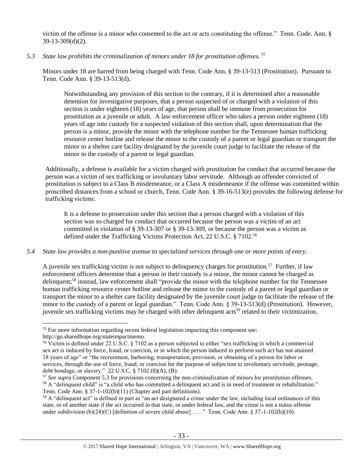victim of the offense is a minor who consented to the act or acts constituting the offense." Tenn. Code. Ann. § 39-13-309(d)(2).

#### *5.3 State law prohibits the criminalization of minors under 18 for prostitution offenses. <sup>55</sup>*

Minors under 18 are barred from being charged with Tenn. Code Ann. § 39-13-513 (Prostitution). Pursuant to Tenn. Code Ann. § 39-13-513(d),

Notwithstanding any provision of this section to the contrary, if it is determined after a reasonable detention for investigative purposes, that a person suspected of or charged with a violation of this section is under eighteen (18) years of age, that person shall be immune from prosecution for prostitution as a juvenile or adult. A law enforcement officer who takes a person under eighteen (18) years of age into custody for a suspected violation of this section shall, upon determination that the person is a minor, provide the minor with the telephone number for the Tennessee human trafficking resource center hotline and release the minor to the custody of a parent or legal guardian or transport the minor to a shelter care facility designated by the juvenile court judge to facilitate the release of the minor to the custody of a parent or legal guardian.

Additionally, a defense is available for a victim charged with prostitution for conduct that occurred because the person was a victim of sex trafficking or involuntary labor servitude. Although an offender convicted of prostitution is subject to a Class B misdemeanor, or a Class A misdemeanor if the offense was committed within proscribed distances from a school or church, Tenn. Code Ann. § 39-16-513(e) provides the following defense for trafficking victims:

It is a defense to prosecution under this section that a person charged with a violation of this section was so charged for conduct that occurred because the person was a victim of an act committed in violation of § 39-13-307 or § 39-13-309, or because the person was a victim as defined under the Trafficking Victims Protection Act, 22 U.S.C. § 7102. 56

#### *5.4 State law provides a non-punitive avenue to specialized services through one or more points of entry.*

A juvenile sex trafficking victim is not subject to delinquency charges for prostitution.<sup>57</sup> Further, if law enforcement officers determine that a person in their custody is a minor, the minor cannot be charged as delinquent;<sup>58</sup> instead, law enforcement shall "provide the minor with the telephone number for the Tennessee human trafficking resource center hotline and release the minor to the custody of a parent or legal guardian or transport the minor to a shelter care facility designated by the juvenile court judge to facilitate the release of the minor to the custody of a parent or legal guardian." Tenn. Code Ann. § 39-13-513(d) (Prostitution). However, iuvenile sex trafficking victims may be charged with other delinquent acts<sup>59</sup> related to their victimization.

<sup>&</sup>lt;sup>55</sup> For more information regarding recent federal legislation impacting this component see: http://go.sharedhope.org/stateimpactmemo.

<sup>56</sup> Victim is defined under 22 U.S.C. § 7102 as a person subjected to either "sex trafficking in which a commercial sex act is induced by force, fraud, or coercion, or in which the person induced to perform such act has not attained 18 years of age" or "the recruitment, harboring, transportation, provision, or obtaining of a person for labor or services, through the use of force, fraud, or coercion for the purpose of subjection to involuntary servitude, peonage, debt bondage, or slavery." 22 U.S.C. § 7102 (8)(A), (B).

<sup>57</sup> *See supra* Component 5.3 for provisions concerning the non-criminalization of minors for prostitution offenses. <sup>58</sup> A "delinquent child" is "a child who has committed a delinquent act and is in need of treatment or rehabilitation." Tenn. Code Ann. § 37-1-102(b)(11) (Chapter and part definitions).

<sup>&</sup>lt;sup>59</sup> A "delinquent act" is defined in part as "an act designated a crime under the law, including local ordinances of this state, or of another state if the act occurred in that state, or under federal law, and the crime is not a status offense under subdivision (b)(24)(C) [definition of severe child abuse] . . . ." Tenn. Code Ann. § 37-1-102(b)(10).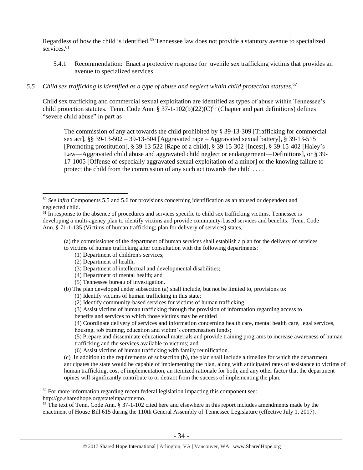Regardless of how the child is identified,<sup>60</sup> Tennessee law does not provide a statutory avenue to specialized services.<sup>61</sup>

5.4.1 Recommendation: Enact a protective response for juvenile sex trafficking victims that provides an avenue to specialized services.

## *5.5 Child sex trafficking is identified as a type of abuse and neglect within child protection statutes.<sup>62</sup>*

Child sex trafficking and commercial sexual exploitation are identified as types of abuse within Tennessee's child protection statutes. Tenn. Code Ann. § 37-1-102(b)(22)(C)<sup>63</sup> (Chapter and part definitions) defines "severe child abuse" in part as

<span id="page-33-0"></span>The commission of any act towards the child prohibited by § 39-13-309 [Trafficking for commercial sex act], §§ 39-13-502 – 39-13-504 [Aggravated rape – Aggravated sexual battery], § 39-13-515 [Promoting prostitution], § 39-13-522 [Rape of a child], § 39-15-302 [Incest], § 39-15-402 [Haley's Law—Aggravated child abuse and aggravated child neglect or endangerment—Definitions], or § 39- 17-1005 [Offense of especially aggravated sexual exploitation of a minor] or the knowing failure to protect the child from the commission of any such act towards the child . . . .

(a) the commissioner of the department of human services shall establish a plan for the delivery of services to victims of human trafficking after consultation with the following departments:

- (1) Department of children's services;
- (2) Department of health;

 $\overline{a}$ 

- (3) Department of intellectual and developmental disabilities;
- (4) Department of mental health; and
- (5) Tennessee bureau of investigation.

(b) The plan developed under subsection (a) shall include, but not be limited to, provisions to:

- (1) Identify victims of human trafficking in this state;
- (2) Identify community-based services for victims of human trafficking

(3) Assist victims of human trafficking through the provision of information regarding access to

benefits and services to which those victims may be entitled

(4) Coordinate delivery of services and information concerning health care, mental health care, legal services, housing, job training, education and victim's compensation funds;

(5) Prepare and disseminate educational materials and provide training programs to increase awareness of human trafficking and the services available to victims; and

(6) Assist victims of human trafficking with family reunification.

(c) In addition to the requirements of subsection (b), the plan shall include a timeline for which the department anticipates the state would be capable of implementing the plan, along with anticipated rates of assistance to victims of human trafficking, cost of implementation, an itemized rationale for both, and any other factor that the department opines will significantly contribute to or detract from the success of implementing the plan.

 $62$  For more information regarding recent federal legislation impacting this component see:

http://go.sharedhope.org/stateimpactmemo.

 $63$  The text of Tenn. Code Ann.  $\S 37$ -1-102 cited here and elsewhere in this report includes amendments made by the enactment of House Bill 615 during the 110th General Assembly of Tennessee Legislature (effective July 1, 2017).

<sup>60</sup> *See infra* Components 5.5 and 5.6 for provisions concerning identification as an abused or dependent and neglected child.

 $<sup>61</sup>$  In response to the absence of procedures and services specific to child sex trafficking victims, Tennessee is</sup> developing a multi-agency plan to identify victims and provide community-based services and benefits. Tenn. Code Ann. § 71-1-135 (Victims of human trafficking; plan for delivery of services) states,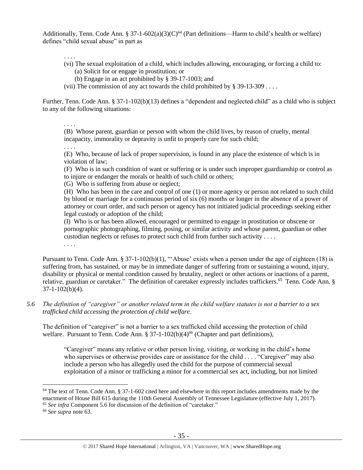Additionally, Tenn. Code Ann. § 37-1-602(a)(3)(C)<sup>64</sup> (Part definitions—Harm to child's health or welfare) defines "child sexual abuse" in part as

<span id="page-34-0"></span>. . . .

- (vi) The sexual exploitation of a child, which includes allowing, encouraging, or forcing a child to: (a) Solicit for or engage in prostitution; or
	- (b) Engage in an act prohibited by § 39-17-1003; and
- (vii) The commission of any act towards the child prohibited by  $\S 39-13-309$ ...

Further, Tenn. Code Ann. § 37-1-102(b)(13) defines a "dependent and neglected child" as a child who is subject to any of the following situations:

. . . .

(B) Whose parent, guardian or person with whom the child lives, by reason of cruelty, mental incapacity, immorality or depravity is unfit to properly care for such child;

. . . .

(E) Who, because of lack of proper supervision, is found in any place the existence of which is in violation of law;

(F) Who is in such condition of want or suffering or is under such improper guardianship or control as to injure or endanger the morals or health of such child or others;

(G) Who is suffering from abuse or neglect;

(H) Who has been in the care and control of one (1) or more agency or person not related to such child by blood or marriage for a continuous period of six (6) months or longer in the absence of a power of attorney or court order, and such person or agency has not initiated judicial proceedings seeking either legal custody or adoption of the child;

(I) Who is or has been allowed, encouraged or permitted to engage in prostitution or obscene or pornographic photographing, filming, posing, or similar activity and whose parent, guardian or other custodian neglects or refuses to protect such child from further such activity . . . .

. . . .

Pursuant to Tenn. Code Ann. § 37-1-102(b)(1), "'Abuse' exists when a person under the age of eighteen (18) is suffering from, has sustained, or may be in immediate danger of suffering from or sustaining a wound, injury, disability or physical or mental condition caused by brutality, neglect or other actions or inactions of a parent, relative, guardian or caretaker." The definition of caretaker expressly includes traffickers.<sup>65</sup> Tenn. Code Ann. § 37-1-102(b)(4).

*5.6 The definition of "caregiver" or another related term in the child welfare statutes is not a barrier to a sex trafficked child accessing the protection of child welfare.*

The definition of "caregiver" is not a barrier to a sex trafficked child accessing the protection of child welfare. Pursuant to Tenn. Code Ann. § 37-1-102(b)(4)<sup>66</sup> (Chapter and part definitions),

"Caregiver" means any relative or other person living, visiting, or working in the child's home who supervises or otherwise provides care or assistance for the child . . . . "Caregiver" may also include a person who has allegedly used the child for the purpose of commercial sexual exploitation of a minor or trafficking a minor for a commercial sex act, including, but not limited

 $64$  The text of Tenn. Code Ann. § 37-1-602 cited here and elsewhere in this report includes amendments made by the enactment of House Bill 615 during the 110th General Assembly of Tennessee Legislature (effective July 1, 2017). <sup>65</sup> *See infra* Component 5.6 for discussion of the definition of "caretaker."

<sup>66</sup> *See supra* note [63.](#page-33-0)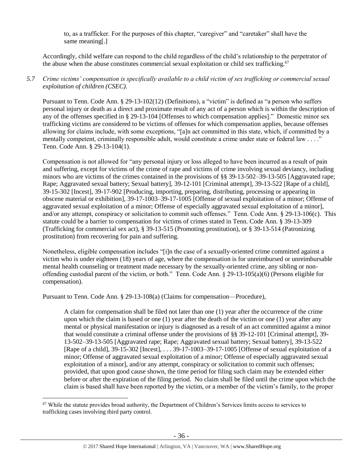to, as a trafficker. For the purposes of this chapter, "caregiver" and "caretaker" shall have the same meaning[.]

Accordingly, child welfare can respond to the child regardless of the child's relationship to the perpetrator of the abuse when the abuse constitutes commercial sexual exploitation or child sex trafficking.<sup>67</sup>

## *5.7 Crime victims' compensation is specifically available to a child victim of sex trafficking or commercial sexual exploitation of children (CSEC).*

Pursuant to Tenn. Code Ann. § 29-13-102(12) (Definitions), a "victim" is defined as "a person who suffers personal injury or death as a direct and proximate result of any act of a person which is within the description of any of the offenses specified in § 29-13-104 [Offenses to which compensation applies]." Domestic minor sex trafficking victims are considered to be victims of offenses for which compensation applies, because offenses allowing for claims include, with some exceptions, "[a]n act committed in this state, which, if committed by a mentally competent, criminally responsible adult, would constitute a crime under state or federal law . . . ." Tenn. Code Ann. § 29-13-104(1).

Compensation is not allowed for "any personal injury or loss alleged to have been incurred as a result of pain and suffering, except for victims of the crime of rape and victims of crime involving sexual deviancy, including minors who are victims of the crimes contained in the provisions of [§§ 39-13-502–](https://www.lexis.com/research/buttonTFLink?_m=174cb59fee180dee8938bb262f35ccec&_xfercite=%3ccite%20cc%3d%22USA%22%3e%3c%21%5bCDATA%5bTenn.%20Code%20Ann.%20%a7%2029-13-106%5d%5d%3e%3c%2fcite%3e&_butType=4&_butStat=0&_butNum=9&_butInline=1&_butinfo=TNCODE%2039-13-502&_fmtstr=FULL&docnum=1&_startdoc=1&wchp=dGLbVtb-zSkAB&_md5=822f63069e8581703def8e50c6be8a64)[39-13-505](https://www.lexis.com/research/buttonTFLink?_m=174cb59fee180dee8938bb262f35ccec&_xfercite=%3ccite%20cc%3d%22USA%22%3e%3c%21%5bCDATA%5bTenn.%20Code%20Ann.%20%a7%2029-13-106%5d%5d%3e%3c%2fcite%3e&_butType=4&_butStat=0&_butNum=10&_butInline=1&_butinfo=TNCODE%2039-13-505&_fmtstr=FULL&docnum=1&_startdoc=1&wchp=dGLbVtb-zSkAB&_md5=e6b50a15afcc6c5caf1761c0438604f5) [Aggravated rape; Rape; Aggravated sexual battery; Sexual battery], [39-12-101](https://www.lexis.com/research/buttonTFLink?_m=174cb59fee180dee8938bb262f35ccec&_xfercite=%3ccite%20cc%3d%22USA%22%3e%3c%21%5bCDATA%5bTenn.%20Code%20Ann.%20%a7%2029-13-106%5d%5d%3e%3c%2fcite%3e&_butType=4&_butStat=0&_butNum=11&_butInline=1&_butinfo=TNCODE%2039-12-101&_fmtstr=FULL&docnum=1&_startdoc=1&wchp=dGLbVtb-zSkAB&_md5=c388863aa00a8704be3c3e6f2bba9d97) [Criminal attempt], [39-13-522](https://www.lexis.com/research/buttonTFLink?_m=174cb59fee180dee8938bb262f35ccec&_xfercite=%3ccite%20cc%3d%22USA%22%3e%3c%21%5bCDATA%5bTenn.%20Code%20Ann.%20%a7%2029-13-106%5d%5d%3e%3c%2fcite%3e&_butType=4&_butStat=0&_butNum=12&_butInline=1&_butinfo=TNCODE%2039-13-522&_fmtstr=FULL&docnum=1&_startdoc=1&wchp=dGLbVtb-zSkAB&_md5=ddc0f926bb8561bee115d8941fd4db91) [Rape of a child], [39-15-302](https://www.lexis.com/research/buttonTFLink?_m=174cb59fee180dee8938bb262f35ccec&_xfercite=%3ccite%20cc%3d%22USA%22%3e%3c%21%5bCDATA%5bTenn.%20Code%20Ann.%20%a7%2029-13-106%5d%5d%3e%3c%2fcite%3e&_butType=4&_butStat=0&_butNum=13&_butInline=1&_butinfo=TNCODE%2039-15-302&_fmtstr=FULL&docnum=1&_startdoc=1&wchp=dGLbVtb-zSkAB&_md5=6a0a3156019470fbfcf965f209085587) [Incest][, 39-17-902](https://www.lexis.com/research/buttonTFLink?_m=174cb59fee180dee8938bb262f35ccec&_xfercite=%3ccite%20cc%3d%22USA%22%3e%3c%21%5bCDATA%5bTenn.%20Code%20Ann.%20%a7%2029-13-106%5d%5d%3e%3c%2fcite%3e&_butType=4&_butStat=0&_butNum=14&_butInline=1&_butinfo=TNCODE%2039-17-902&_fmtstr=FULL&docnum=1&_startdoc=1&wchp=dGLbVtb-zSkAB&_md5=8ab46b53a7aa30ce7485bda5c67048d5) [\[Producing, importing, preparing, distributing, processing or appearing in](javascript:void(pToc.tc2dc()  [obscene material or exhibition\]](javascript:void(pToc.tc2dc()[, 39-17-1003](https://www.lexis.com/research/buttonTFLink?_m=174cb59fee180dee8938bb262f35ccec&_xfercite=%3ccite%20cc%3d%22USA%22%3e%3c%21%5bCDATA%5bTenn.%20Code%20Ann.%20%a7%2029-13-106%5d%5d%3e%3c%2fcite%3e&_butType=4&_butStat=0&_butNum=15&_butInline=1&_butinfo=TNCODE%2039-17-1003&_fmtstr=FULL&docnum=1&_startdoc=1&wchp=dGLbVtb-zSkAB&_md5=cc33b3b535dd36db2504ecdc624cf830)[–39-17-1005](https://www.lexis.com/research/buttonTFLink?_m=174cb59fee180dee8938bb262f35ccec&_xfercite=%3ccite%20cc%3d%22USA%22%3e%3c%21%5bCDATA%5bTenn.%20Code%20Ann.%20%a7%2029-13-106%5d%5d%3e%3c%2fcite%3e&_butType=4&_butStat=0&_butNum=16&_butInline=1&_butinfo=TNCODE%2039-17-1005&_fmtstr=FULL&docnum=1&_startdoc=1&wchp=dGLbVtb-zSkAB&_md5=e50f25fa5f94ebdb7720727fc9c04bd1) [Offense of sexual exploitation of a minor; Offense of aggravated sexual exploitation of a minor; Offense of especially aggravated sexual exploitation of a minor], and/or any attempt, conspiracy or solicitation to commit such offenses." Tenn. Code Ann. § 29-13-106(c). This statute could be a barrier to compensation for victims of crimes stated in Tenn. Code Ann. § 39-13-309 (Trafficking for commercial sex act), § 39-13-515 (Promoting prostitution), or § 39-13-514 (Patronizing prostitution) from recovering for pain and suffering.

Nonetheless, eligible compensation includes "[i]n the case of a sexually-oriented crime committed against a victim who is under eighteen (18) years of age, where the compensation is for unreimbursed or unreimbursable mental health counseling or treatment made necessary by the sexually-oriented crime, any sibling or nonoffending custodial parent of the victim, or both." Tenn. Code Ann. § 29-13-105(a)(6) (Persons eligible for compensation).

Pursuant to Tenn. Code Ann. § 29-13-108(a) (Claims for compensation—Procedure),

 $\overline{a}$ 

A claim for compensation shall be filed not later than one (1) year after the occurrence of the crime upon which the claim is based or one (1) year after the death of the victim or one (1) year after any mental or physical manifestation or injury is diagnosed as a result of an act committed against a minor that would constitute a criminal offense under the provisions of §§ 39-12-101 [Criminal attempt], 39- 13-502–39-13-505 [Aggravated rape; Rape; Aggravated sexual battery; Sexual battery], 39-13-522 [Rape of a child], 39-15-302 [Incest], . . . 39-17-1003–39-17-1005 [Offense of sexual exploitation of a minor; Offense of aggravated sexual exploitation of a minor; Offense of especially aggravated sexual exploitation of a minor], and/or any attempt, conspiracy or solicitation to commit such offenses; provided, that upon good cause shown, the time period for filing such claim may be extended either before or after the expiration of the filing period. No claim shall be filed until the crime upon which the claim is based shall have been reported by the victim, or a member of the victim's family, to the proper

<sup>&</sup>lt;sup>67</sup> While the statute provides broad authority, the Department of Children's Services limits access to services to trafficking cases involving third party control.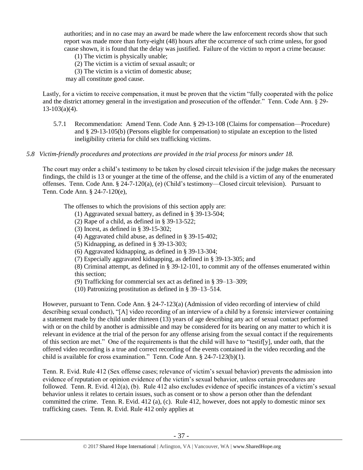authorities; and in no case may an award be made where the law enforcement records show that such report was made more than forty-eight (48) hours after the occurrence of such crime unless, for good cause shown, it is found that the delay was justified. Failure of the victim to report a crime because:

(1) The victim is physically unable;

(2) The victim is a victim of sexual assault; or

(3) The victim is a victim of domestic abuse;

may all constitute good cause.

Lastly, for a victim to receive compensation, it must be proven that the victim "fully cooperated with the police and the district attorney general in the investigation and prosecution of the offender." Tenn. Code Ann. § 29-  $13-103(a)(4)$ .

5.7.1 Recommendation: Amend Tenn. Code Ann. § 29-13-108 (Claims for compensation—Procedure) and § 29-13-105(b) (Persons eligible for compensation) to stipulate an exception to the listed ineligibility criteria for child sex trafficking victims.

#### *5.8 Victim-friendly procedures and protections are provided in the trial process for minors under 18.*

The court may order a child's testimony to be taken by closed circuit television if the judge makes the necessary findings, the child is 13 or younger at the time of the offense, and the child is a victim of any of the enumerated offenses. Tenn. Code Ann. § 24-7-120(a), (e) (Child's testimony—Closed circuit television). Pursuant to Tenn. Code Ann. § 24-7-120(e),

The offenses to which the provisions of this section apply are:

- (1) Aggravated sexual battery, as defined in § 39-13-504;
- (2) Rape of a child, as defined in § 39-13-522;
- (3) Incest, as defined in § 39-15-302;
- (4) Aggravated child abuse, as defined in § 39-15-402;
- (5) Kidnapping, as defined in § 39-13-303;
- (6) Aggravated kidnapping, as defined in § 39-13-304;
- (7) Especially aggravated kidnapping, as defined in § 39-13-305; and

(8) Criminal attempt, as defined in § 39-12-101, to commit any of the offenses enumerated within this section;

(9) Trafficking for commercial sex act as defined in § 39–13–309;

(10) Patronizing prostitution as defined in § 39–13–514.

However, pursuant to Tenn. Code Ann. § 24-7-123(a) (Admission of video recording of interview of child describing sexual conduct), "[A] video recording of an interview of a child by a forensic interviewer containing a statement made by the child under thirteen (13) years of age describing any act of sexual contact performed with or on the child by another is admissible and may be considered for its bearing on any matter to which it is relevant in evidence at the trial of the person for any offense arising from the sexual contact if the requirements of this section are met." One of the requirements is that the child will have to "testif[y], under oath, that the offered video recording is a true and correct recording of the events contained in the video recording and the child is available for cross examination." Tenn. Code Ann. § 24-7-123(b)(1).

Tenn. R. Evid. Rule 412 (Sex offense cases; relevance of victim's sexual behavior) prevents the admission into evidence of reputation or opinion evidence of the victim's sexual behavior, unless certain procedures are followed. Tenn. R. Evid. 412(a), (b). Rule 412 also excludes evidence of specific instances of a victim's sexual behavior unless it relates to certain issues, such as consent or to show a person other than the defendant committed the crime. Tenn. R. Evid. 412 (a), (c). Rule 412, however, does not apply to domestic minor sex trafficking cases. Tenn. R. Evid. Rule 412 only applies at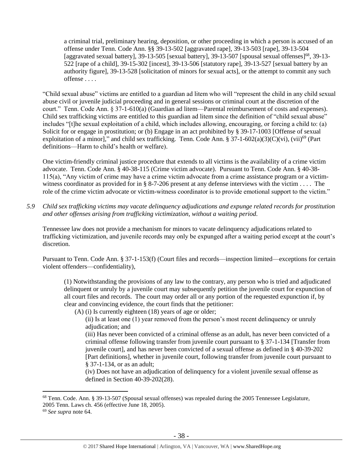a criminal trial, preliminary hearing, deposition, or other proceeding in which a person is accused of an offense under Tenn. Code Ann. §§ 39-13-502 [aggravated rape], 39-13-503 [rape], 39-13-504 [aggravated sexual battery], 39-13-505 [sexual battery], 39-13-507 [spousal sexual offenses]<sup>68</sup>, 39-13-522 [rape of a child], 39-15-302 [incest], 39-13-506 [statutory rape], 39-13-527 [sexual battery by an authority figure], 39-13-528 [solicitation of minors for sexual acts], or the attempt to commit any such offense . . . .

"Child sexual abuse" victims are entitled to a guardian ad litem who will "represent the child in any child sexual abuse civil or juvenile judicial proceeding and in general sessions or criminal court at the discretion of the court." Tenn. Code Ann. § 37-1-610(a) (Guardian ad litem—Parental reimbursement of costs and expenses). Child sex trafficking victims are entitled to this guardian ad litem since the definition of "child sexual abuse" includes "[t]he sexual exploitation of a child, which includes allowing, encouraging, or forcing a child to: (a) Solicit for or engage in prostitution; or (b) Engage in an act prohibited by § 39-17-1003 [Offense of sexual] exploitation of a minor]," and child sex trafficking. Tenn. Code Ann. § 37-1-602(a)(3)(C)(vi), (vii)<sup>69</sup> (Part definitions—Harm to child's health or welfare).

One victim-friendly criminal justice procedure that extends to all victims is the availability of a crime victim advocate. Tenn. Code Ann. § 40-38-115 (Crime victim advocate). Pursuant to Tenn. Code Ann. § 40-38- 115(a), "Any victim of crime may have a crime victim advocate from a crime assistance program or a victimwitness coordinator as provided for in § 8-7-206 present at any defense interviews with the victim . . . . The role of the crime victim advocate or victim-witness coordinator is to provide emotional support to the victim."

*5.9 Child sex trafficking victims may vacate delinquency adjudications and expunge related records for prostitution and other offenses arising from trafficking victimization, without a waiting period.*

Tennessee law does not provide a mechanism for minors to vacate delinquency adjudications related to trafficking victimization, and juvenile records may only be expunged after a waiting period except at the court's discretion.

Pursuant to Tenn. Code Ann. § 37-1-153(f) (Court files and records—inspection limited—exceptions for certain violent offenders—confidentiality),

(1) Notwithstanding the provisions of any law to the contrary, any person who is tried and adjudicated delinquent or unruly by a juvenile court may subsequently petition the juvenile court for expunction of all court files and records. The court may order all or any portion of the requested expunction if, by clear and convincing evidence, the court finds that the petitioner:

(A) (i) Is currently eighteen (18) years of age or older;

(ii) Is at least one (1) year removed from the person's most recent delinquency or unruly adjudication; and

(iii) Has never been convicted of a criminal offense as an adult, has never been convicted of a criminal offense following transfer from juvenile court pursuant to § 37-1-134 [Transfer from juvenile court], and has never been convicted of a sexual offense as defined in § 40-39-202 [Part definitions], whether in juvenile court, following transfer from juvenile court pursuant to § 37-1-134, or as an adult;

(iv) Does not have an adjudication of delinquency for a violent juvenile sexual offense as defined in Section 40-39-202(28).

<sup>68</sup> Tenn. Code. Ann. § 39-13-507 (Spousal sexual offenses) was repealed during the 2005 Tennessee Legislature, 2005 Tenn. Laws ch. 456 (effective June 18, 2005).

<sup>69</sup> *See supra* note [64.](#page-34-0)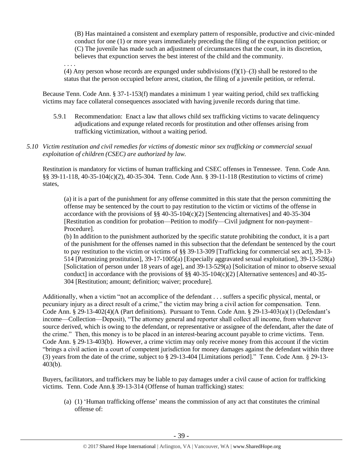(B) Has maintained a consistent and exemplary pattern of responsible, productive and civic-minded conduct for one (1) or more years immediately preceding the filing of the expunction petition; or (C) The juvenile has made such an adjustment of circumstances that the court, in its discretion, believes that expunction serves the best interest of the child and the community.

. . . . (4) Any person whose records are expunged under subdivisions  $(f)(1)$ –(3) shall be restored to the status that the person occupied before arrest, citation, the filing of a juvenile petition, or referral.

Because Tenn. Code Ann. § 37-1-153(f) mandates a minimum 1 year waiting period, child sex trafficking victims may face collateral consequences associated with having juvenile records during that time.

- 5.9.1 Recommendation: Enact a law that allows child sex trafficking victims to vacate delinquency adjudications and expunge related records for prostitution and other offenses arising from trafficking victimization, without a waiting period.
- *5.10 Victim restitution and civil remedies for victims of domestic minor sex trafficking or commercial sexual exploitation of children (CSEC) are authorized by law.*

Restitution is mandatory for victims of human trafficking and CSEC offenses in Tennessee. Tenn. Code Ann. §§ 39-11-118, 40-35-104(c)(2), 40-35-304. Tenn. Code Ann. § 39-11-118 (Restitution to victims of crime) states,

(a) it is a part of the punishment for any offense committed in this state that the person committing the offense may be sentenced by the court to pay restitution to the victim or victims of the offense in accordance with the provisions of  $\S$ § 40-35-104(c)(2) [Sentencing alternatives] and 40-35-304 [Restitution as condition for probation—Petition to modify—Civil judgment for non-payment– Procedure].

(b) In addition to the punishment authorized by the specific statute prohibiting the conduct, it is a part of the punishment for the offenses named in this subsection that the defendant be sentenced by the court to pay restitution to the victim or victims of §§ 39-13-309 [Trafficking for commercial sex act], 39-13- 514 [Patronizing prostitution], 39-17-1005(a) [Especially aggravated sexual exploitation], 39-13-528(a) [Solicitation of person under 18 years of age], and 39-13-529(a) [Solicitation of minor to observe sexual conduct] in accordance with the provisions of  $\S$ § 40-35-104(c)(2) [Alternative sentences] and 40-35-304 [Restitution; amount; definition; waiver; procedure].

Additionally, when a victim "not an accomplice of the defendant . . . suffers a specific physical, mental, or pecuniary injury as a direct result of a crime," the victim may bring a civil action for compensation. Tenn. Code Ann. § 29-13-402(4)(A (Part definitions). Pursuant to Tenn. Code Ann. § 29-13-403(a)(1) (Defendant's income—Collection—Deposit), "The attorney general and reporter shall collect all income, from whatever source derived, which is owing to the defendant, or representative or assignee of the defendant, after the date of the crime." Then, this money is to be placed in an interest-bearing account payable to crime victims. Tenn. Code Ann. § 29-13-403(b). However, a crime victim may only receive money from this account if the victim "brings a civil action in a court of competent jurisdiction for money damages against the defendant within three (3) years from the date of the crime, subject to § 29-13-404 [Limitations period]." Tenn. Code Ann. § 29-13- 403(b).

Buyers, facilitators, and traffickers may be liable to pay damages under a civil cause of action for trafficking victims. Tenn. Code Ann.§ 39-13-314 (Offense of human trafficking) states:

(a) (1) 'Human trafficking offense' means the commission of any act that constitutes the criminal offense of: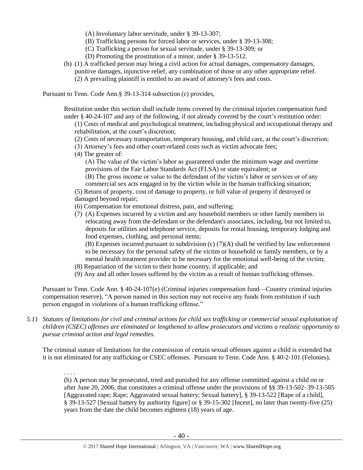- (A) Involuntary labor servitude, under § 39-13-307;
- (B) Trafficking persons for forced labor or services, under § 39-13-308;
- (C) Trafficking a person for sexual servitude, under § 39-13-309; or
- (D) Promoting the prostitution of a minor, under § 39-13-512.
- (b) (1) A trafficked person may bring a civil action for actual damages, compensatory damages, punitive damages, injunctive relief, any combination of those or any other appropriate relief. (2) A prevailing plaintiff is entitled to an award of attorney's fees and costs.

Pursuant to Tenn. Code Ann.§ 39-13-314 subsection (c) provides,

Restitution under this section shall include items covered by the criminal injuries compensation fund under § 40-24-107 and any of the following, if not already covered by the court's restitution order:

- (1) Costs of medical and psychological treatment, including physical and occupational therapy and rehabilitation, at the court's discretion;
- (2) Costs of necessary transportation, temporary housing, and child care, at the court's discretion;
- (3) Attorney's fees and other court-related costs such as victim advocate fees;
- (4) The greater of:

(A) The value of the victim's labor as guaranteed under the minimum wage and overtime provisions of the Fair Labor Standards Act (FLSA) or state equivalent; or

(B) The gross income or value to the defendant of the victim's labor or services or of any commercial sex acts engaged in by the victim while in the human trafficking situation;

(5) Return of property, cost of damage to property, or full value of property if destroyed or damaged beyond repair;

(6) Compensation for emotional distress, pain, and suffering;

(7) (A) Expenses incurred by a victim and any household members or other family members in relocating away from the defendant or the defendant's associates, including, but not limited to, deposits for utilities and telephone service, deposits for rental housing, temporary lodging and food expenses, clothing, and personal items;

(B) Expenses incurred pursuant to subdivision (c) (7)(A) shall be verified by law enforcement to be necessary for the personal safety of the victim or household or family members, or by a mental health treatment provider to be necessary for the emotional well-being of the victim;

- (8) Repatriation of the victim to their home country, if applicable; and
- (9) Any and all other losses suffered by the victim as a result of human trafficking offenses.

Pursuant to Tenn. Code Ann. § 40-24-107(e) (Criminal injuries compensation fund—Country criminal injuries compensation reserve), "A person named in this section may not receive any funds from restitution if such person engaged in violations of a human trafficking offense."

#### *5.11 Statutes of limitations for civil and criminal actions for child sex trafficking or commercial sexual exploitation of children (CSEC) offenses are eliminated or lengthened to allow prosecutors and victims a realistic opportunity to pursue criminal action and legal remedies.*

The criminal statute of limitations for the commission of certain sexual offenses against a child is extended but it is not eliminated for any trafficking or CSEC offenses. Pursuant to Tenn. Code Ann. § 40-2-101 (Felonies),

. . . .

(h) A person may be prosecuted, tried and punished for any offense committed against a child on or after June 20, 2006, that constitutes a criminal offense under the provisions of §§ 39-13-502–39-13-505 [Aggravated rape; Rape; Aggravated sexual battery; Sexual battery], § 39-13-522 [Rape of a child], § 39-13-527 [Sexual battery by authority figure] or § 39-15-302 [Incest], no later than twenty-five (25) years from the date the child becomes eighteen (18) years of age.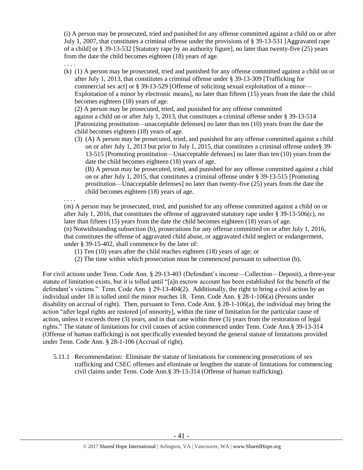(i) A person may be prosecuted, tried and punished for any offense committed against a child on or after July 1, 2007, that constitutes a criminal offense under the provisions of § 39-13-531 [Aggravated rape of a child] or § 39-13-532 [Statutory rape by an authority figure], no later than twenty-five (25) years from the date the child becomes eighteen (18) years of age.

. . . .

(k) (1) A person may be prosecuted, tried and punished for any offense committed against a child on or after July 1, 2013, that constitutes a criminal offense under § 39-13-309 [Trafficking for commercial sex act] or [§ 39-13-529](https://a.next.westlaw.com/Link/Document/FullText?findType=L&pubNum=1000039&cite=TNSTS39-13-529&originatingDoc=NB303EA80FD9C11E2B5E0FF4CCFAB5723&refType=LQ&originationContext=document&transitionType=DocumentItem&contextData=(sc.UserEnteredCitation)) [Offense of soliciting sexual exploitation of a minor— Exploitation of a minor by electronic means], no later than fifteen (15) years from the date the child becomes eighteen (18) years of age.

(2) A person may be prosecuted, tried, and punished for any offense committed against a child on or after July 1, 2013, that constitutes a criminal offense under § 39-13-514 [Patronizing prostitution—unacceptable defenses] no later than ten (10) years from the date the child becomes eighteen (18) years of age.

(3) (A) A person may be prosecuted, tried, and punished for any offense committed against a child on or after July 1, 2013 but prior to July 1, 2015, that constitutes a criminal offense under§ 39- 13-515 [Promoting prostitution—Unacceptable defenses] no later than ten (10) years from the date the child becomes eighteen (18) years of age.

(B) A person may be prosecuted, tried, and punished for any offense committed against a child on or after July 1, 2015, that constitutes a criminal offense under § 39-13-515 [Promoting prostitution—Unacceptable defenses] no later than twenty-five (25) years from the date the child becomes eighteen (18) years of age.

. . . . (m) A person may be prosecuted, tried, and punished for any offense committed against a child on or after July 1, 2016, that constitutes the offense of aggravated statutory rape under § 39-13-506(c), no later than fifteen (15) years from the date the child becomes eighteen (18) years of age. (n) Notwithstanding subsection (b), prosecutions for any offense committed on or after July 1, 2016, that constitutes the offense of aggravated child abuse, or aggravated child neglect or endangerment, under § 39-15-402, shall commence by the later of:

(1) Ten (10) years after the child reaches eighteen (18) years of age; or

(2) The time within which prosecution must be commenced pursuant to subsection (b).

For civil actions under Tenn. Code Ann. § 29-13-403 (Defendant's income—Collection—Deposit), a three-year statute of limitation exists, but it is tolled until "[a]n escrow account has been established for the benefit of the defendant's victims." Tenn. Code Ann. § 29-13-404(2). Additionally, the right to bring a civil action by an individual under 18 is tolled until the minor reaches 18. Tenn. Code Ann. § 28-1-106(a) (Persons under disability on accrual of right). Then, pursuant to Tenn. Code Ann. § 28-1-106(a), the individual may bring the action "after legal rights are restored [of minority], within the time of limitation for the particular cause of action, unless it exceeds three (3) years, and in that case within three (3) years from the restoration of legal rights." The statute of limitations for civil causes of action commenced under Tenn. Code Ann.§ 39-13-314 (Offense of human trafficking) is not specifically extended beyond the general statute of limitations provided under Tenn. Code Ann. § 28-1-106 (Accrual of right).

5.11.1 Recommendation: Eliminate the statute of limitations for commencing prosecutions of sex trafficking and CSEC offenses and eliminate or lengthen the statute of limitations for commencing civil claims under Tenn. Code Ann.§ 39-13-314 (Offense of human trafficking).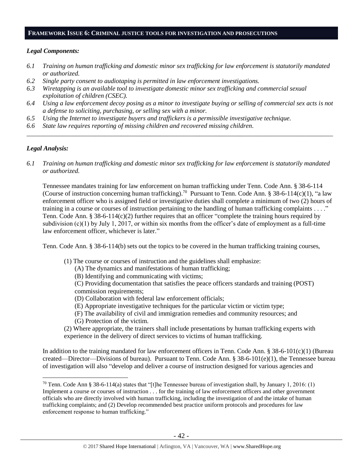#### **FRAMEWORK ISSUE 6: CRIMINAL JUSTICE TOOLS FOR INVESTIGATION AND PROSECUTIONS**

#### *Legal Components:*

- *6.1 Training on human trafficking and domestic minor sex trafficking for law enforcement is statutorily mandated or authorized.*
- *6.2 Single party consent to audiotaping is permitted in law enforcement investigations.*
- *6.3 Wiretapping is an available tool to investigate domestic minor sex trafficking and commercial sexual exploitation of children (CSEC).*
- *6.4 Using a law enforcement decoy posing as a minor to investigate buying or selling of commercial sex acts is not a defense to soliciting, purchasing, or selling sex with a minor.*

*\_\_\_\_\_\_\_\_\_\_\_\_\_\_\_\_\_\_\_\_\_\_\_\_\_\_\_\_\_\_\_\_\_\_\_\_\_\_\_\_\_\_\_\_\_\_\_\_\_\_\_\_\_\_\_\_\_\_\_\_\_\_\_\_\_\_\_\_\_\_\_\_\_\_\_\_\_\_\_\_\_\_\_\_\_\_\_\_\_\_\_\_\_\_*

- *6.5 Using the Internet to investigate buyers and traffickers is a permissible investigative technique.*
- *6.6 State law requires reporting of missing children and recovered missing children.*

## *Legal Analysis:*

 $\overline{a}$ 

*6.1 Training on human trafficking and domestic minor sex trafficking for law enforcement is statutorily mandated or authorized.*

Tennessee mandates training for law enforcement on human trafficking under Tenn. Code Ann. § 38-6-114 (Course of instruction concerning human trafficking).<sup>70</sup> Pursuant to Tenn. Code Ann. § 38-6-114(c)(1), "a law enforcement officer who is assigned field or investigative duties shall complete a minimum of two (2) hours of training in a course or courses of instruction pertaining to the handling of human trafficking complaints . . . ." Tenn. Code Ann. § 38-6-114(c)(2) further requires that an officer "complete the training hours required by subdivision (c)(1) by July 1, 2017, or within six months from the officer's date of employment as a full-time law enforcement officer, whichever is later."

Tenn. Code Ann. § 38-6-114(b) sets out the topics to be covered in the human trafficking training courses,

- (1) The course or courses of instruction and the guidelines shall emphasize:
	- (A) The dynamics and manifestations of human trafficking;
	- (B) Identifying and communicating with victims;

(C) Providing documentation that satisfies the peace officers standards and training (POST) commission requirements;

- (D) Collaboration with federal law enforcement officials;
- (E) Appropriate investigative techniques for the particular victim or victim type;
- (F) The availability of civil and immigration remedies and community resources; and
- (G) Protection of the victim.
- (2) Where appropriate, the trainers shall include presentations by human trafficking experts with experience in the delivery of direct services to victims of human trafficking.

In addition to the training mandated for law enforcement officers in Tenn. Code Ann. § 38-6-101(c)(1) (Bureau created—Director—Divisions of bureau). Pursuant to Tenn. Code Ann.  $\S 38-6-101(e)(1)$ , the Tennessee bureau of investigation will also "develop and deliver a course of instruction designed for various agencies and

<sup>&</sup>lt;sup>70</sup> Tenn. Code Ann § 38-6-114(a) states that "[t]he Tennessee bureau of investigation shall, by January 1, 2016: (1) Implement a course or courses of instruction . . . for the training of law enforcement officers and other government officials who are directly involved with human trafficking, including the investigation of and the intake of human trafficking complaints; and (2) Develop recommended best practice uniform protocols and procedures for law enforcement response to human trafficking."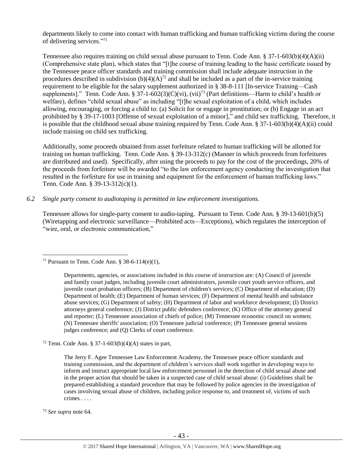departments likely to come into contact with human trafficking and human trafficking victims during the course of delivering services." 71

Tennessee also requires training on child sexual abuse pursuant to Tenn. Code Ann.  $\S 37$ -1-603(b)(4)(A)(ii) (Comprehensive state plan), which states that "[t]he course of training leading to the basic certificate issued by the Tennessee peace officer standards and training commission shall include adequate instruction in the procedures described in subdivision  $(b)(4)(A)^{72}$  and shall be included as a part of the in-service training requirement to be eligible for the salary supplement authorized in § 38-8-111 [In-service Training—Cash supplements]." Tenn. Code Ann. § 37-1-602(3)(C)(vi), (vii)<sup>73</sup> (Part definitions—Harm to child's health or welfare), defines "child sexual abuse" as including "[t]he sexual exploitation of a child, which includes allowing, encouraging, or forcing a child to: (a) Solicit for or engage in prostitution; or (b) Engage in an act prohibited by § 39-17-1003 [Offense of sexual exploitation of a minor]," and child sex trafficking. Therefore, it is possible that the childhood sexual abuse training required by Tenn. Code Ann. § 37-1-603(b)(4)(A)(ii) could include training on child sex trafficking.

Additionally, some proceeds obtained from asset forfeiture related to human trafficking will be allotted for training on human trafficking. Tenn. Code Ann. § 39-13-312(c) (Manner in which proceeds from forfeitures are distributed and used). Specifically, after using the proceeds to pay for the cost of the proceedings, 20% of the proceeds from forfeiture will be awarded "to the law enforcement agency conducting the investigation that resulted in the forfeiture for use in training and equipment for the enforcement of human trafficking laws." Tenn. Code Ann. § 39-13-312(c)(1).

*6.2 Single party consent to audiotaping is permitted in law enforcement investigations.*

Tennessee allows for single-party consent to audio-taping. Pursuant to Tenn. Code Ann. § 39-13-601(b)(5) (Wiretapping and electronic surveillance—Prohibited acts—Exceptions), which regulates the interception of "wire, oral, or electronic communication,"

Departments, agencies, or associations included in this course of instruction are: (A) Council of juvenile and family court judges, including juvenile court administrators, juvenile court youth service officers, and juvenile court probation officers; (B) Department of children's services; (C) Department of education; (D) Department of health; (E) Department of human services; (F) Department of mental health and substance abuse services; (G) Department of safety; (H) Department of labor and workforce development; (I) District attorneys general conference; (J) District public defenders conference; (K) Office of the attorney general and reporter; (L) Tennessee association of chiefs of police; (M) Tennessee economic council on women; (N) Tennessee sheriffs' association; (O) Tennessee judicial conference; (P) Tennessee general sessions judges conference; and (Q) Clerks of court conference.

<sup>72</sup> Tenn. Code Ann. § 37-1-603(b)(4)(A) states in part,

The Jerry F. Agee Tennessee Law Enforcement Academy, the Tennessee peace officer standards and training commission, and the department of children's services shall work together in developing ways to inform and instruct appropriate local law enforcement personnel in the detection of child sexual abuse and in the proper action that should be taken in a suspected case of child sexual abuse: (i) Guidelines shall be prepared establishing a standard procedure that may be followed by police agencies in the investigation of cases involving sexual abuse of children, including police response to, and treatment of, victims of such crimes . . . .

<sup>73</sup> *See supra* note [64.](#page-34-0)

<sup>&</sup>lt;sup>71</sup> Pursuant to Tenn. Code Ann. § 38-6-114(e)(1),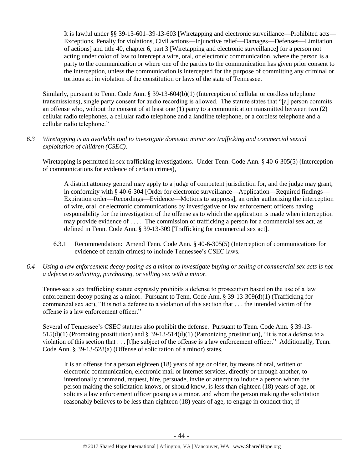It is lawful under §§ 39-13-601–39-13-603 [Wiretapping and electronic surveillance—Prohibited acts— Exceptions, Penalty for violations, Civil actions—Injunctive relief—Damages—Defenses—Limitation of actions] and title 40, chapter 6, part 3 [Wiretapping and electronic surveillance] for a person not acting under color of law to intercept a wire, oral, or electronic communication, where the person is a party to the communication or where one of the parties to the communication has given prior consent to the interception, unless the communication is intercepted for the purpose of committing any criminal or tortious act in violation of the constitution or laws of the state of Tennessee.

Similarly, pursuant to Tenn. Code Ann. § 39-13-604(b)(1) (Interception of cellular or cordless telephone transmissions), single party consent for audio recording is allowed. The statute states that "[a] person commits an offense who, without the consent of at least one (1) party to a communication transmitted between two (2) cellular radio telephones, a cellular radio telephone and a landline telephone, or a cordless telephone and a cellular radio telephone."

## *6.3 Wiretapping is an available tool to investigate domestic minor sex trafficking and commercial sexual exploitation of children (CSEC).*

Wiretapping is permitted in sex trafficking investigations. Under Tenn. Code Ann. § 40-6-305(5) (Interception of communications for evidence of certain crimes),

A district attorney general may apply to a judge of competent jurisdiction for, and the judge may grant, in conformity with § 40-6-304 [Order for electronic surveillance—Application—Required findings— Expiration order—Recordings—Evidence—Motions to suppress], an order authorizing the interception of wire, oral, or electronic communications by investigative or law enforcement officers having responsibility for the investigation of the offense as to which the application is made when interception may provide evidence of . . . . The commission of trafficking a person for a commercial sex act, as defined in Tenn. Code Ann. § 39-13-309 [Trafficking for commercial sex act].

- 6.3.1 Recommendation: Amend Tenn. Code Ann. § 40-6-305(5) (Interception of communications for evidence of certain crimes) to include Tennessee's CSEC laws.
- *6.4 Using a law enforcement decoy posing as a minor to investigate buying or selling of commercial sex acts is not a defense to soliciting, purchasing, or selling sex with a minor.*

Tennessee's sex trafficking statute expressly prohibits a defense to prosecution based on the use of a law enforcement decoy posing as a minor. Pursuant to Tenn. Code Ann. § 39-13-309(d)(1) (Trafficking for commercial sex act), "It is not a defense to a violation of this section that . . . the intended victim of the offense is a law enforcement officer."

Several of Tennessee's CSEC statutes also prohibit the defense. Pursuant to Tenn. Code Ann. § 39-13- 515(d)(1) (Promoting prostitution) and § 39-13-514(d)(1) (Patronizing prostitution), "It is not a defense to a violation of this section that . . . [t]he subject of the offense is a law enforcement officer." Additionally, Tenn. Code Ann. § 39-13-528(a) (Offense of solicitation of a minor) states,

It is an offense for a person eighteen (18) years of age or older, by means of oral, written or electronic communication, electronic mail or Internet services, directly or through another, to intentionally command, request, hire, persuade, invite or attempt to induce a person whom the person making the solicitation knows, or should know, is less than eighteen (18) years of age, or solicits a law enforcement officer posing as a minor, and whom the person making the solicitation reasonably believes to be less than eighteen (18) years of age, to engage in conduct that, if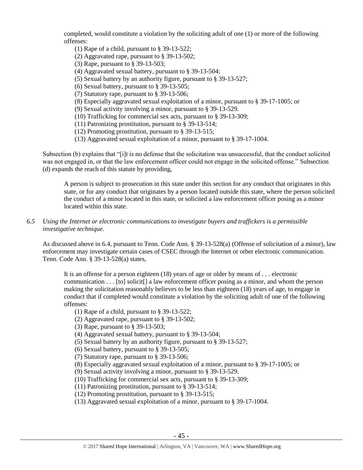completed, would constitute a violation by the soliciting adult of one (1) or more of the following offenses:

- (1) Rape of a child, pursuant to § 39-13-522;
- (2) Aggravated rape, pursuant to § 39-13-502;
- (3) Rape, pursuant to § 39-13-503;
- (4) Aggravated sexual battery, pursuant to § 39-13-504;
- (5) Sexual battery by an authority figure, pursuant to § 39-13-527;
- (6) Sexual battery, pursuant to § 39-13-505;
- (7) Statutory rape, pursuant to § 39-13-506;
- (8) Especially aggravated sexual exploitation of a minor, pursuant to § 39-17-1005; or
- (9) Sexual activity involving a minor, pursuant to § 39-13-529.
- (10) Trafficking for commercial sex acts, pursuant to § 39-13-309;
- (11) Patronizing prostitution, pursuant to § 39-13-514;
- (12) Promoting prostitution, pursuant to § 39-13-515;
- (13) Aggravated sexual exploitation of a minor, pursuant to § 39-17-1004.

Subsection (b) explains that "[i]t is no defense that the solicitation was unsuccessful, that the conduct solicited was not engaged in, or that the law enforcement officer could not engage in the solicited offense." Subsection (d) expands the reach of this statute by providing,

A person is subject to prosecution in this state under this section for any conduct that originates in this state, or for any conduct that originates by a person located outside this state, where the person solicited the conduct of a minor located in this state, or solicited a law enforcement officer posing as a minor located within this state.

## *6.5 Using the Internet or electronic communications to investigate buyers and traffickers is a permissible investigative technique.*

As discussed above in 6.4, pursuant to Tenn. Code Ann. § 39-13-528(a) (Offense of solicitation of a minor), law enforcement may investigate certain cases of CSEC through the Internet or other electronic communication. Tenn. Code Ann. § 39-13-528(a) states,

It is an offense for a person eighteen (18) years of age or older by means of . . . electronic communication . . . [to] solicit[] a law enforcement officer posing as a minor, and whom the person making the solicitation reasonably believes to be less than eighteen (18) years of age, to engage in conduct that if completed would constitute a violation by the soliciting adult of one of the following offenses:

- (1) Rape of a child, pursuant to § 39-13-522;
- (2) Aggravated rape, pursuant to § 39-13-502;
- (3) Rape, pursuant to § 39-13-503;
- (4) Aggravated sexual battery, pursuant to § 39-13-504;
- (5) Sexual battery by an authority figure, pursuant to § 39-13-527;
- (6) Sexual battery, pursuant to § 39-13-505;
- (7) Statutory rape, pursuant to § 39-13-506;
- (8) Especially aggravated sexual exploitation of a minor, pursuant to § 39-17-1005; or
- (9) Sexual activity involving a minor, pursuant to § 39-13-529.
- (10) Trafficking for commercial sex acts, pursuant to § 39-13-309;
- (11) Patronizing prostitution, pursuant to § 39-13-514;
- (12) Promoting prostitution, pursuant to § 39-13-515;
- (13) Aggravated sexual exploitation of a minor, pursuant to § 39-17-1004.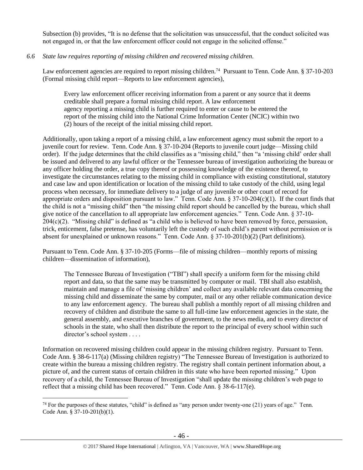Subsection (b) provides, "It is no defense that the solicitation was unsuccessful, that the conduct solicited was not engaged in, or that the law enforcement officer could not engage in the solicited offense."

## *6.6 State law requires reporting of missing children and recovered missing children.*

Law enforcement agencies are required to report missing children.<sup>74</sup> Pursuant to Tenn. Code Ann. § 37-10-203 (Formal missing child report—Reports to law enforcement agencies),

Every law enforcement officer receiving information from a parent or any source that it deems creditable shall prepare a formal missing child report. A law enforcement agency reporting a missing child is further required to enter or cause to be entered the report of the missing child into the National Crime Information Center (NCIC) within two (2) hours of the receipt of the initial missing child report.

Additionally, upon taking a report of a missing child, a law enforcement agency must submit the report to a juvenile court for review. Tenn. Code Ann. § 37-10-204 (Reports to juvenile court judge—Missing child order). If the judge determines that the child classifies as a "missing child," then "a 'missing child' order shall be issued and delivered to any lawful officer or the Tennessee bureau of investigation authorizing the bureau or any officer holding the order, a true copy thereof or possessing knowledge of the existence thereof, to investigate the circumstances relating to the missing child in compliance with existing constitutional, statutory and case law and upon identification or location of the missing child to take custody of the child, using legal process when necessary, for immediate delivery to a judge of any juvenile or other court of record for appropriate orders and disposition pursuant to law." Tenn. Code Ann.  $\S 37-10-204(c)(1)$ . If the court finds that the child is not a "missing child" then "the missing child report should be cancelled by the bureau, which shall give notice of the cancellation to all appropriate law enforcement agencies." Tenn. Code Ann. § 37-10-  $204(c)(2)$ . "Missing child" is defined as "a child who is believed to have been removed by force, persuasion, trick, enticement, false pretense, has voluntarily left the custody of such child's parent without permission or is absent for unexplained or unknown reasons." Tenn. Code Ann. § 37-10-201(b)(2) (Part definitions).

Pursuant to Tenn. Code Ann. § 37-10-205 (Forms—file of missing children—monthly reports of missing children—dissemination of information),

The Tennessee Bureau of Investigation ("TBI") shall specify a uniform form for the missing child report and data, so that the same may be transmitted by computer or mail. TBI shall also establish, maintain and manage a file of 'missing children' and collect any available relevant data concerning the missing child and disseminate the same by computer, mail or any other reliable communication device to any law enforcement agency. The bureau shall publish a monthly report of all missing children and recovery of children and distribute the same to all full-time law enforcement agencies in the state, the general assembly, and executive branches of government, to the news media, and to every director of schools in the state, who shall then distribute the report to the principal of every school within such director's school system . . . .

Information on recovered missing children could appear in the missing children registry. Pursuant to Tenn. Code Ann. § 38-6-117(a) (Missing children registry) "The Tennessee Bureau of Investigation is authorized to create within the bureau a missing children registry. The registry shall contain pertinent information about, a picture of, and the current status of certain children in this state who have been reported missing." Upon recovery of a child, the Tennessee Bureau of Investigation "shall update the missing children's web page to reflect that a missing child has been recovered." Tenn. Code Ann. § 38-6-117(e).

 $74$  For the purposes of these statutes, "child" is defined as "any person under twenty-one (21) years of age." Tenn. Code Ann. § 37-10-201(b)(1).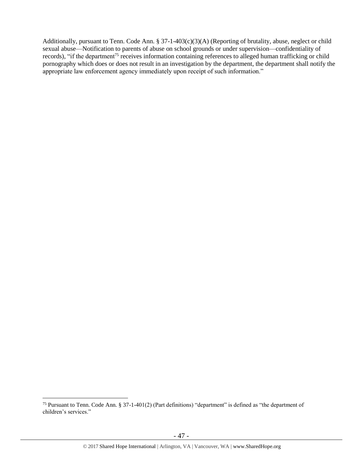Additionally, pursuant to Tenn. Code Ann. § 37-1-403(c)(3)(A) (Reporting of brutality, abuse, neglect or child sexual abuse—Notification to parents of abuse on school grounds or under supervision—confidentiality of records), "if the department<sup>75</sup> receives information containing references to alleged human trafficking or child pornography which does or does not result in an investigation by the department, the department shall notify the appropriate law enforcement agency immediately upon receipt of such information."

<sup>75</sup> Pursuant to Tenn. Code Ann. § 37-1-401(2) (Part definitions) "department" is defined as "the department of children's services."